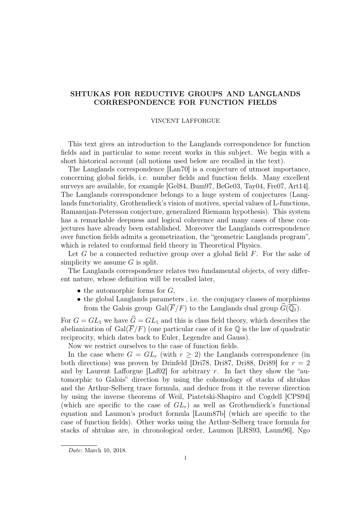# SHTUKAS FOR REDUCTIVE GROUPS AND LANGLANDS CORRESPONDENCE FOR FUNCTION FIELDS

### VINCENT LAFFORGUE

This text gives an introduction to the Langlands correspondence for function fields and in particular to some recent works in this subject. We begin with a short historical account (all notions used below are recalled in the text).

The Langlands correspondence [Lan70] is a conjecture of utmost importance, concerning global fields, i.e. number fields and function fields. Many excellent surveys are available, for example [Gel84, Bum97, BeGe03, Tay04, Fre07, Art14]. The Langlands correspondence belongs to a huge system of conjectures (Langlands functoriality, Grothendieck's vision of motives, special values of L-functions, Ramanujan-Petersson conjecture, generalized Riemann hypothesis). This system has a remarkable deepness and logical coherence and many cases of these conjectures have already been established. Moreover the Langlands correspondence over function fields admits a geometrization, the "geometric Langlands program", which is related to conformal field theory in Theoretical Physics.

Let G be a connected reductive group over a global field  $F$ . For the sake of simplicity we assume  $G$  is split.

The Langlands correspondence relates two fundamental objects, of very different nature, whose definition will be recalled later,

- the automorphic forms for  $G$ ,
- the global Langlands parameters , i.e. the conjugacy classes of morphisms from the Galois group Gal( $\overline{F}/F$ ) to the Langlands dual group  $\overline{G}(\overline{\mathbb{Q}_\ell})$ .

For  $G = GL_1$  we have  $\hat{G} = GL_1$  and this is class field theory, which describes the abelianization of Gal $(\overline{F}/F)$  (one particular case of it for Q is the law of quadratic reciprocity, which dates back to Euler, Legendre and Gauss).

Now we restrict ourselves to the case of function fields.

In the case where  $G = GL_r$  (with  $r > 2$ ) the Langlands correspondence (in both directions) was proven by Drinfeld [Dri78, Dri87, Dri88, Dri89] for  $r = 2$ and by Laurent Lafforgue  $\lceil \text{Laf02} \rceil$  for arbitrary r. In fact they show the "automorphic to Galois" direction by using the cohomology of stacks of shtukas and the Arthur-Selberg trace formula, and deduce from it the reverse direction by using the inverse theorems of Weil, Piatetski-Shapiro and Cogdell [CPS94] (which are specific to the case of  $GL_r$ ) as well as Grothendieck's functional equation and Laumon's product formula [Laum87b] (which are specific to the case of function fields). Other works using the Arthur-Selberg trace formula for stacks of shtukas are, in chronological order, Laumon [LRS93, Laum96], Ngo

Date: March 10, 2018.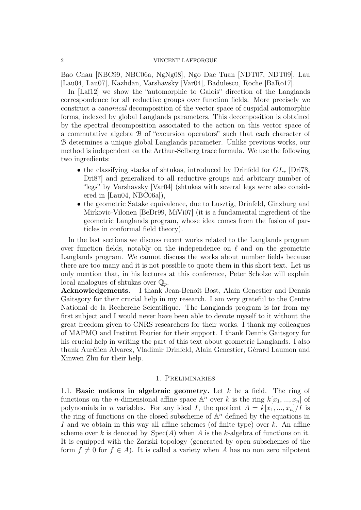Bao Chau [NBC99, NBC06a, NgNg08], Ngo Dac Tuan [NDT07, NDT09], Lau [Lau04, Lau07], Kazhdan, Varshavsky [Var04], Badulescu, Roche [BaRo17].

In [Laf12] we show the "automorphic to Galois" direction of the Langlands correspondence for all reductive groups over function fields. More precisely we construct a canonical decomposition of the vector space of cuspidal automorphic forms, indexed by global Langlands parameters. This decomposition is obtained by the spectral decomposition associated to the action on this vector space of a commutative algebra B of "excursion operators" such that each character of B determines a unique global Langlands parameter. Unlike previous works, our method is independent on the Arthur-Selberg trace formula. We use the following two ingredients:

- the classifying stacks of shtukas, introduced by Drinfeld for  $GL_r$  [Dri78, Dri87] and generalized to all reductive groups and arbitrary number of "legs" by Varshavsky [Var04] (shtukas with several legs were also considered in [Lau04, NBC06a]),
- the geometric Satake equivalence, due to Lusztig, Drinfeld, Ginzburg and Mirkovic-Vilonen [BeDr99, MiVi07] (it is a fundamental ingredient of the geometric Langlands program, whose idea comes from the fusion of particles in conformal field theory).

In the last sections we discuss recent works related to the Langlands program over function fields, notably on the independence on  $\ell$  and on the geometric Langlands program. We cannot discuss the works about number fields because there are too many and it is not possible to quote them in this short text. Let us only mention that, in his lectures at this conference, Peter Scholze will explain local analogues of shtukas over  $\mathbb{Q}_p$ .

Acknowledgements. I thank Jean-Benoît Bost, Alain Genestier and Dennis Gaitsgory for their crucial help in my research. I am very grateful to the Centre National de la Recherche Scientifique. The Langlands program is far from my first subject and I would never have been able to devote myself to it without the great freedom given to CNRS researchers for their works. I thank my colleagues of MAPMO and Institut Fourier for their support. I thank Dennis Gaitsgory for his crucial help in writing the part of this text about geometric Langlands. I also thank Aurélien Alvarez, Vladimir Drinfeld, Alain Genestier, Gérard Laumon and Xinwen Zhu for their help.

## 1. Preliminaries

1.1. Basic notions in algebraic geometry. Let  $k$  be a field. The ring of functions on the *n*-dimensional affine space  $A^n$  over k is the ring  $k[x_1, ..., x_n]$  of polynomials in *n* variables. For any ideal *I*, the quotient  $A = k[x_1, ..., x_n]/I$  is the ring of functions on the closed subscheme of  $\mathbb{A}^n$  defined by the equations in I and we obtain in this way all affine schemes (of finite type) over k. An affine scheme over k is denoted by  $Spec(A)$  when A is the k-algebra of functions on it. It is equipped with the Zariski topology (generated by open subschemes of the form  $f \neq 0$  for  $f \in A$ ). It is called a variety when A has no non zero nilpotent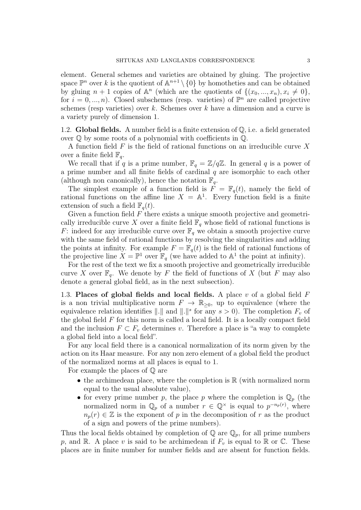element. General schemes and varieties are obtained by gluing. The projective space  $\mathbb{P}^n$  over k is the quotient of  $\mathbb{A}^{n+1}\setminus\{0\}$  by homotheties and can be obtained by gluing  $n+1$  copies of  $\mathbb{A}^n$  (which are the quotients of  $\{(x_0, ..., x_n), x_i \neq 0\}$ , for  $i = 0, ..., n$ ). Closed subschemes (resp. varieties) of  $\mathbb{P}^n$  are called projective schemes (resp varieties) over k. Schemes over k have a dimension and a curve is a variety purely of dimension 1.

1.2. Global fields. A number field is a finite extension of  $\mathbb{Q}$ , i.e. a field generated over Q by some roots of a polynomial with coefficients in Q.

A function field  $F$  is the field of rational functions on an irreducible curve X over a finite field  $\mathbb{F}_q$ .

We recall that if q is a prime number,  $\mathbb{F}_q = \mathbb{Z}/q\mathbb{Z}$ . In general q is a power of a prime number and all finite fields of cardinal  $q$  are isomorphic to each other (although non canonically), hence the notation  $\mathbb{F}_q$ .

The simplest example of a function field is  $F = \mathbb{F}_q(t)$ , namely the field of rational functions on the affine line  $X = \mathbb{A}^1$ . Every function field is a finite extension of such a field  $\mathbb{F}_q(t)$ .

Given a function field  $F$  there exists a unique smooth projective and geometrically irreducible curve X over a finite field  $\mathbb{F}_q$  whose field of rational functions is F: indeed for any irreducible curve over  $\mathbb{F}_q$  we obtain a smooth projective curve with the same field of rational functions by resolving the singularities and adding the points at infinity. For example  $F = \mathbb{F}_q(t)$  is the field of rational functions of the projective line  $X = \mathbb{P}^1$  over  $\mathbb{F}_q$  (we have added to  $\mathbb{A}^1$  the point at infinity).

For the rest of the text we fix a smooth projective and geometrically irreducible curve X over  $\mathbb{F}_q$ . We denote by F the field of functions of X (but F may also denote a general global field, as in the next subsection).

1.3. Places of global fields and local fields. A place  $v$  of a global field  $F$ is a non trivial multiplicative norm  $F \to \mathbb{R}_{\geq 0}$ , up to equivalence (where the equivalence relation identifies  $\|\cdot\|$  and  $\|\cdot\|^s$  for any  $s > 0$ ). The completion  $F_v$  of the global field  $F$  for this norm is called a local field. It is a locally compact field and the inclusion  $F \subset F_v$  determines v. Therefore a place is "a way to complete a global field into a local field".

For any local field there is a canonical normalization of its norm given by the action on its Haar measure. For any non zero element of a global field the product of the normalized norms at all places is equal to 1.

For example the places of Q are

- the archimedean place, where the completion is  $\mathbb R$  (with normalized norm equal to the usual absolute value),
- for every prime number p, the place p where the completion is  $\mathbb{Q}_p$  (the normalized norm in  $\mathbb{Q}_p$  of a number  $r \in \mathbb{Q}^\times$  is equal to  $p^{-n_p(r)}$ , where  $n_p(r) \in \mathbb{Z}$  is the exponent of p in the decomposition of r as the product of a sign and powers of the prime numbers).

Thus the local fields obtained by completion of  $\mathbb Q$  are  $\mathbb Q_p$ , for all prime numbers p, and R. A place v is said to be archimedean if  $F_v$  is equal to R or C. These places are in finite number for number fields and are absent for function fields.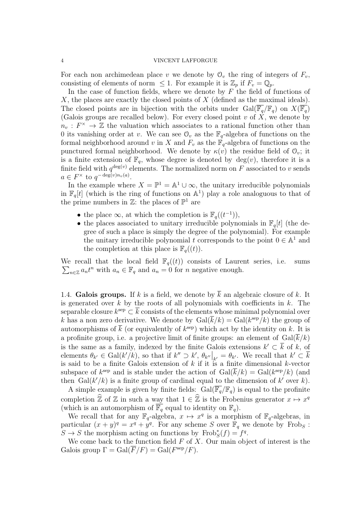For each non archimedean place v we denote by  $\mathcal{O}_v$  the ring of integers of  $F_v$ , consisting of elements of norm  $\leq 1$ . For example it is  $\mathbb{Z}_p$  if  $F_v = \mathbb{Q}_p$ .

In the case of function fields, where we denote by  $F$  the field of functions of X, the places are exactly the closed points of  $X$  (defined as the maximal ideals). The closed points are in bijection with the orbits under  $Gal(\overline{\mathbb{F}_q}/\mathbb{F}_q)$  on  $X(\overline{\mathbb{F}_q})$ (Galois groups are recalled below). For every closed point v of  $X$ , we denote by  $n_v: F^{\times} \to \mathbb{Z}$  the valuation which associates to a rational function other than 0 its vanishing order at v. We can see  $\mathcal{O}_v$  as the  $\mathbb{F}_q$ -algebra of functions on the formal neighborhood around v in X and  $F_v$  as the  $\mathbb{F}_q$ -algebra of functions on the punctured formal neighborhood. We denote by  $\kappa(v)$  the residue field of  $\mathcal{O}_v$ ; it is a finite extension of  $\mathbb{F}_q$ , whose degree is denoted by  $deg(v)$ , therefore it is a finite field with  $q^{\deg(v)}$  elements. The normalized norm on F associated to v sends  $a \in F^\times$  to  $q^{-\deg(v)n_v(a)}$ .

In the example where  $X = \mathbb{P}^1 = \mathbb{A}^1 \cup \infty$ , the unitary irreducible polynomials in  $\mathbb{F}_q[t]$  (which is the ring of functions on  $\mathbb{A}^1$ ) play a role analoguous to that of the prime numbers in  $\mathbb{Z}$ : the places of  $\mathbb{P}^1$  are

- the place  $\infty$ , at which the completion is  $\mathbb{F}_q((t^{-1})),$
- the places associated to unitary irreducible polynomials in  $\mathbb{F}_q[t]$  (the degree of such a place is simply the degree of the polynomial). For example the unitary irreducible polynomial t corresponds to the point  $0 \in \mathbb{A}^1$  and the completion at this place is  $\mathbb{F}_q((t))$ .

We recall that the local field  $\mathbb{F}_q((t))$  consists of Laurent series, i.e. sums  $\sum_{n\in\mathbb{Z}} a_n t^n$  with  $a_n \in \mathbb{F}_q$  and  $a_n = 0$  for *n* negative enough.

1.4. Galois groups. If k is a field, we denote by  $\overline{k}$  an algebraic closure of k. It is generated over  $k$  by the roots of all polynomials with coefficients in  $k$ . The separable closure  $k^{\text{sep}} \subset \overline{k}$  consists of the elements whose minimal polynomial over k has a non zero derivative. We denote by  $Gal(\overline{k}/k) = Gal(k^{\text{sep}}/k)$  the group of automorphisms of  $\bar{k}$  (or equivalently of  $k^{\text{sep}}$ ) which act by the identity on k. It is a profinite group, i.e. a projective limit of finite groups: an element of  $Gal(\overline{k}/k)$ is the same as a family, indexed by the finite Galois extensions  $k' \subset \overline{k}$  of k, of elements  $\theta_{k'} \in \text{Gal}(k'/k)$ , so that if  $k'' \supset k'$ ,  $\theta_{k''}\big|_{k'} = \theta_{k'}$ . We recall that  $k' \subset \overline{k}$ is said to be a finite Galois extension of  $k$  if it is a finite dimensional  $k$ -vector subspace of  $k^{\text{sep}}$  and is stable under the action of  $\text{Gal}(\overline{k}/k) = \text{Gal}(k^{\text{sep}}/k)$  (and then  $Gal(k'/k)$  is a finite group of cardinal equal to the dimension of k' over k).

A simple example is given by finite fields:  $Gal(\overline{\mathbb{F}_q}/\mathbb{F}_q)$  is equal to the profinite completion  $\widehat{\mathbb{Z}}$  of  $\mathbb Z$  in such a way that  $1 \in \widehat{\mathbb{Z}}$  is the Frobenius generator  $x \mapsto x^q$ (which is an automorphism of  $\overline{\mathbb{F}_q}$  equal to identity on  $\mathbb{F}_q$ ).

We recall that for any  $\mathbb{F}_q$ -algebra,  $x \mapsto x^q$  is a morphism of  $\mathbb{F}_q$ -algebras, in particular  $(x+y)^q = x^q + y^q$ . For any scheme S over  $\mathbb{F}_q$  we denote by Frobs:  $S \to S$  the morphism acting on functions by  $\text{Frob}_{S}^{*}(f) = f^{q}$ .

We come back to the function field  $F$  of  $X$ . Our main object of interest is the Galois group  $\Gamma = \text{Gal}(\overline{F}/F) = \text{Gal}(F^{\text{sep}}/F)$ .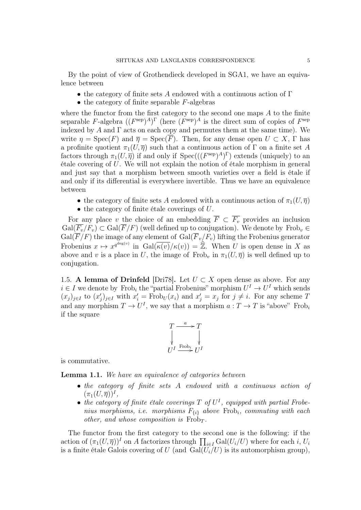By the point of view of Grothendieck developed in SGA1, we have an equivalence between

- the category of finite sets A endowed with a continuous action of  $\Gamma$
- $\bullet$  the category of finite separable  $F$ -algebras

where the functor from the first category to the second one maps A to the finite separable F-algebra  $((F^{\text{sep}})^A)^{\Gamma}$  (here  $(F^{\text{sep}})^A$  is the direct sum of copies of  $F^{\text{sep}}$ indexed by A and  $\Gamma$  acts on each copy and permutes them at the same time). We write  $\eta = \operatorname{Spec}(F)$  and  $\overline{\eta} = \operatorname{Spec}(\overline{F})$ . Then, for any dense open  $U \subset X$ ,  $\Gamma$  has a profinite quotient  $\pi_1(U, \overline{\eta})$  such that a continuous action of Γ on a finite set A factors through  $\pi_1(U, \overline{\eta})$  if and only if  $Spec(((F<sup>sep</sup>)<sup>A</sup>)<sup>\Gamma</sup>)$  extends (uniquely) to an étale covering of U. We will not explain the notion of étale morphism in general and just say that a morphism between smooth varieties over a field is étale if and only if its differential is everywhere invertible. Thus we have an equivalence between

- the category of finite sets A endowed with a continuous action of  $\pi_1(U, \overline{\eta})$
- $\bullet$  the category of finite étale coverings of  $U$ .

For any place v the choice of an embedding  $\overline{F} \subset F_v$  provides an inclusion  $Gal(\overline{F_v}/F_v) \subset Gal(\overline{F}/F)$  (well defined up to conjugation). We denote by  $Frob_v \in$  $Gal(\overline{F}/F)$  the image of any element of  $Gal(\overline{F}_v/F_v)$  lifting the Frobenius generator Frobenius  $x \mapsto x^{q^{\deg(v)}}$  in  $Gal(\overline{\kappa(v)}/\kappa(v)) = \widehat{\mathbb{Z}}$ . When U is open dense in X as above and v is a place in U, the image of Frob<sub>v</sub> in  $\pi_1(U, \overline{\eta})$  is well defined up to conjugation.

1.5. A lemma of Drinfeld [Dri78]. Let  $U \subset X$  open dense as above. For any  $i \in I$  we denote by Frob<sub>i</sub> the "partial Frobenius" morphism  $U^I \to U^I$  which sends  $(x_j)_{j\in I}$  to  $(x'_j)_{j\in I}$  with  $x'_i$  = Frob<sub>U</sub> $(x_i)$  and  $x'_j = x_j$  for  $j \neq i$ . For any scheme T and any morphism  $T \to U^I$ , we say that a morphism  $a: T \to T$  is "above" Frob<sub>i</sub> if the square

$$
T \xrightarrow{a} T
$$
  
\n
$$
\downarrow \qquad \qquad \downarrow
$$
  
\n
$$
U^I \xrightarrow{\text{Frob}_i} U^I
$$

is commutative.

Lemma 1.1. We have an equivalence of categories between

- the category of finite sets A endowed with a continuous action of  $(\pi_1(U,\overline{\eta}))^I,$
- the category of finite étale coverings  $T$  of  $U^I$ , equipped with partial Frobenius morphisms, i.e. morphisms  $F_{\{i\}}$  above Frob<sub>i</sub>, commuting with each other, and whose composition is  $Frob_{T}$ .

The functor from the first category to the second one is the following: if the action of  $(\pi_1(U, \overline{\eta}))^I$  on A factorizes through  $\prod_{i \in I} \text{Gal}(U_i/U)$  where for each i,  $U_i$ is a finite étale Galois covering of U (and  $Gal(U_i/U)$  is its automorphism group),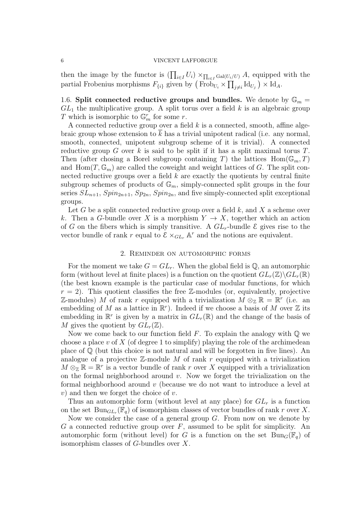then the image by the functor is  $(\prod_{i\in I} U_i) \times_{\prod_{i\in I} \text{Gal}(U_i/U)} A$ , equipped with the partial Frobenius morphisms  $F_{\{i\}}$  given by  $(\text{Frob}_{U_i} \times \prod_{j \neq i} \text{Id}_{U_j}) \times \text{Id}_A$ .

1.6. Split connected reductive groups and bundles. We denote by  $\mathbb{G}_m =$  $GL<sub>1</sub>$  the multiplicative group. A split torus over a field k is an algebraic group T which is isomorphic to  $\mathbb{G}_m^r$  for some r.

A connected reductive group over a field  $k$  is a connected, smooth, affine algebraic group whose extension to  $k$  has a trivial unipotent radical (i.e. any normal, smooth, connected, unipotent subgroup scheme of it is trivial). A connected reductive group G over k is said to be split if it has a split maximal torus  $T$ . Then (after chosing a Borel subgroup containing T) the lattices  $Hom(\mathbb{G}_m, T)$ and  $\text{Hom}(T,\mathbb{G}_m)$  are called the coweight and weight lattices of G. The split connected reductive groups over a field  $k$  are exactly the quotients by central finite subgroup schemes of products of  $\mathbb{G}_m$ , simply-connected split groups in the four series  $SL_{n+1}$ ,  $Spin_{2n+1}$ ,  $Sp_{2n}$ ,  $Spin_{2n}$ , and five simply-connected split exceptional groups.

Let G be a split connected reductive group over a field  $k$ , and X a scheme over k. Then a G-bundle over X is a morphism  $Y \to X$ , together which an action of G on the fibers which is simply transitive. A  $GL_r$ -bundle  $\mathcal E$  gives rise to the vector bundle of rank r equal to  $\mathcal{E} \times_{GL_r} \mathbb{A}^r$  and the notions are equivalent.

### 2. Reminder on automorphic forms

For the moment we take  $G = GL_r$ . When the global field is Q, an automorphic form (without level at finite places) is a function on the quotient  $GL_r(\mathbb{Z})\backslash GL_r(\mathbb{R})$ (the best known example is the particular case of modular functions, for which  $r = 2$ ). This quotient classifies the free Z-modules (or, equivalently, projective Z-modules) M of rank r equipped with a trivialization  $\overline{M} \otimes_{\mathbb{Z}} \mathbb{R} = \mathbb{R}^r$  (i.e. an embedding of M as a lattice in  $\mathbb{R}^r$ ). Indeed if we choose a basis of M over Z its embedding in  $\mathbb{R}^r$  is given by a matrix in  $GL_r(\mathbb{R})$  and the change of the basis of M gives the quotient by  $GL_r(\mathbb{Z})$ .

Now we come back to our function field  $F$ . To explain the analogy with  $\mathbb Q$  we choose a place  $v$  of  $X$  (of degree 1 to simplify) playing the role of the archimedean place of  $\mathbb Q$  (but this choice is not natural and will be forgotten in five lines). An analogue of a projective  $\mathbb{Z}$ -module M of rank r equipped with a trivialization  $M \otimes_{\mathbb{Z}} \mathbb{R} = \mathbb{R}^r$  is a vector bundle of rank r over X equipped with a trivialization on the formal neighborhood around  $v$ . Now we forget the trivialization on the formal neighborhood around v (because we do not want to introduce a level at  $v)$  and then we forget the choice of v.

Thus an automorphic form (without level at any place) for  $GL<sub>r</sub>$  is a function on the set  $\text{Bun}_{GL_r}(\overline{\mathbb{F}}_q)$  of isomorphism classes of vector bundles of rank r over X.

Now we consider the case of a general group  $G$ . From now on we denote by  $G$  a connected reductive group over  $F$ , assumed to be split for simplicity. An automorphic form (without level) for G is a function on the set  $Bun_G(\mathbb{F}_q)$  of isomorphism classes of G-bundles over X.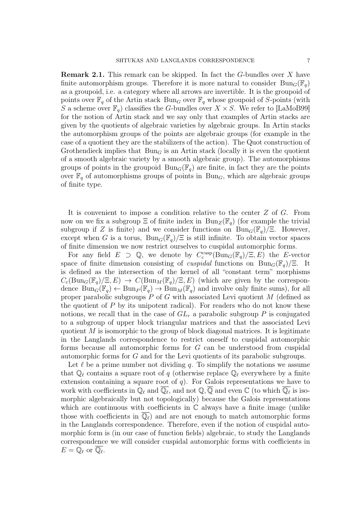Remark 2.1. This remark can be skipped. In fact the G-bundles over X have finite automorphism groups. Therefore it is more natural to consider  $\text{Bun}_G(\mathbb{F}_q)$ as a groupoid, i.e. a category where all arrows are invertible. It is the groupoid of points over  $\mathbb{F}_q$  of the Artin stack  $\text{Bun}_G$  over  $\mathbb{F}_q$  whose groupoid of S-points (with S a scheme over  $\mathbb{F}_q$  classifies the G-bundles over  $X \times S$ . We refer to [LaMoB99] for the notion of Artin stack and we say only that examples of Artin stacks are given by the quotients of algebraic varieties by algebraic groups. In Artin stacks the automorphism groups of the points are algebraic groups (for example in the case of a quotient they are the stabilizers of the action). The Quot construction of Grothendieck implies that  $Bun_G$  is an Artin stack (locally it is even the quotient of a smooth algebraic variety by a smooth algebraic group). The automorphisms groups of points in the groupoid  $Bun_G(\mathbb{F}_q)$  are finite, in fact they are the points over  $\mathbb{F}_q$  of automorphisms groups of points in Bun<sub>G</sub>, which are algebraic groups of finite type.

It is convenient to impose a condition relative to the center Z of G. From now on we fix a subgroup  $\Xi$  of finite index in  $\text{Bun}_Z(\mathbb{F}_q)$  (for example the trivial subgroup if Z is finite) and we consider functions on  $Bun_G(\mathbb{F}_q)/\Xi$ . However, except when G is a torus,  $Bun_G(\mathbb{F}_q)/\Xi$  is still infinite. To obtain vector spaces of finite dimension we now restrict ourselves to cuspidal automorphic forms.

For any field  $E \supset \mathbb{Q}$ , we denote by  $C_c^{\text{cusp}}(\text{Bun}_G(\mathbb{F}_q)/\Xi, E)$  the E-vector space of finite dimension consisting of *cuspidal* functions on  $Bun_G(\mathbb{F}_q)/\Xi$ . It is defined as the intersection of the kernel of all "constant term" morphisms  $C_c(\text{Bun}_G(\mathbb{F}_q)/\Xi, E) \to C(\text{Bun}_M(\mathbb{F}_q)/\Xi, E)$  (which are given by the correspondence  $\text{Bun}_G(\mathbb{F}_q) \leftarrow \text{Bun}_P(\mathbb{F}_q) \rightarrow \text{Bun}_M(\mathbb{F}_q)$  and involve only finite sums), for all proper parabolic subgroups  $P$  of G with associated Levi quotient M (defined as the quotient of  $P$  by its unipotent radical). For readers who do not know these notions, we recall that in the case of  $GL<sub>r</sub>$  a parabolic subgroup P is conjugated to a subgroup of upper block triangular matrices and that the associated Levi quotient  $M$  is isomorphic to the group of block diagonal matrices. It is legitimate in the Langlands correspondence to restrict oneself to cuspidal automorphic forms because all automorphic forms for G can be understood from cuspidal automorphic forms for G and for the Levi quotients of its parabolic subgroups.

Let  $\ell$  be a prime number not dividing q. To simplify the notations we assume that  $\mathbb{Q}_\ell$  contains a square root of q (otherwise replace  $\mathbb{Q}_\ell$  everywhere by a finite extension containing a square root of  $q$ ). For Galois representations we have to work with coefficients in  $\mathbb{Q}_\ell$  and  $\overline{\mathbb{Q}_\ell}$ , and not  $\mathbb{Q}, \overline{\mathbb{Q}}$  and even  $\mathbb{C}$  (to which  $\overline{\mathbb{Q}_\ell}$  is isomorphic algebraically but not topologically) because the Galois representations which are continuous with coefficients in  $\mathbb C$  always have a finite image (unlike those with coefficients in  $\overline{\mathbb{Q}_\ell}$  and are not enough to match automorphic forms in the Langlands correspondence. Therefore, even if the notion of cuspidal automorphic form is (in our case of function fields) algebraic, to study the Langlands correspondence we will consider cuspidal automorphic forms with coefficients in  $E = \overline{\mathbb{Q}}_{\ell}$  or  $\overline{\mathbb{Q}_{\ell}}$ .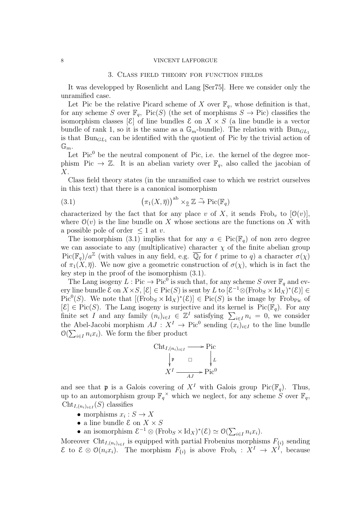### 3. Class field theory for function fields

It was developped by Rosenlicht and Lang [Ser75]. Here we consider only the unramified case.

Let Pic be the relative Picard scheme of X over  $\mathbb{F}_q$ , whose definition is that, for any scheme S over  $\mathbb{F}_q$ , Pic(S) (the set of morphisms  $S \to \text{Pic}$ ) classifies the isomorphism classes  $[\mathcal{E}]$  of line bundles  $\mathcal{E}$  on  $X \times S$  (a line bundle is a vector bundle of rank 1, so it is the same as a  $\mathbb{G}_m$ -bundle). The relation with  $\text{Bun}_{GL_1}$ is that  $Bun_{GL_1}$  can be identified with the quotient of Pic by the trivial action of  $\mathbb{G}_m$ .

Let  $Pic<sup>0</sup>$  be the neutral component of Pic, i.e. the kernel of the degree morphism Pic  $\rightarrow \mathbb{Z}$ . It is an abelian variety over  $\mathbb{F}_q$ , also called the jacobian of X.

Class field theory states (in the unramified case to which we restrict ourselves in this text) that there is a canonical isomorphism

(3.1) 
$$
\left(\pi_1(X,\overline{\eta})\right)^{\mathrm{ab}} \times_{\widehat{\mathbb{Z}}} \mathbb{Z} \stackrel{\sim}{\to} \mathrm{Pic}(\mathbb{F}_q)
$$

characterized by the fact that for any place v of X, it sends Frob<sub>v</sub> to  $[0(v)]$ , where  $\mathcal{O}(v)$  is the line bundle on X whose sections are the functions on X with a possible pole of order  $\leq 1$  at v.

The isomorphism (3.1) implies that for any  $a \in Pic(\mathbb{F}_q)$  of non zero degree we can associate to any (multiplicative) character  $\chi$  of the finite abelian group  $Pic(\mathbb{F}_q)/a^{\mathbb{Z}}$  (with values in any field, e.g.  $\overline{\mathbb{Q}_\ell}$  for  $\ell$  prime to q) a character  $\sigma(\chi)$ of  $\pi_1(X, \overline{\eta})$ . We now give a geometric construction of  $\sigma(\chi)$ , which is in fact the key step in the proof of the isomorphism (3.1).

The Lang isogeny  $L: Pic \to Pic^0$  is such that, for any scheme S over  $\mathbb{F}_q$  and every line bundle  $\mathcal{E}$  on  $X \times S$ ,  $[\mathcal{E}] \in Pic(S)$  is sent by L to  $[\mathcal{E}^{-1} \otimes (Frob_S \times \mathrm{Id}_X)^*(\mathcal{E})] \in$  $Pic^0(S)$ . We note that  $[(Frob_S \times Id_X)^*(\mathcal{E})] \in Pic(S)$  is the image by Frob<sub>Pic</sub> of  $[\mathcal{E}] \in \text{Pic}(S)$ . The Lang isogeny is surjective and its kernel is  $\text{Pic}(\mathbb{F}_q)$ . For any finite set I and any family  $(n_i)_{i\in I} \in \mathbb{Z}^I$  satisfying  $\sum_{i\in I} n_i = 0$ , we consider the Abel-Jacobi morphism  $AJ : X^I \to Pic^0$  sending  $(x_i)_{i \in I}$  to the line bundle  $\mathcal{O}(\sum_{i\in I} n_i x_i)$ . We form the fiber product

$$
\begin{array}{ccc}\n\text{Cht}_{I,(n_i)_{i \in I}} \longrightarrow \text{Pic} \\
\downarrow \mathfrak{p} & \square & \downarrow L \\
X^I \longrightarrow AJ \longrightarrow \text{Pic}^0\n\end{array}
$$

and see that **p** is a Galois covering of  $X<sup>I</sup>$  with Galois group Pic( $\mathbb{F}_q$ ). Thus, up to an automorphism group  $\mathbb{F}_q^{\times}$  which we neglect, for any scheme S over  $\mathbb{F}_q$ ,  $\text{Cht}_{I,(n_i)_{i\in I}}(S)$  classifies

- morphisms  $x_i : S \to X$
- a line bundle  $\mathcal E$  on  $X \times S$
- an isomorphism  $\mathcal{E}^{-1} \otimes (\text{Frob}_S \times \text{Id}_X)^*(\mathcal{E}) \simeq \mathcal{O}(\sum_{i \in I} n_i x_i).$

Moreover Cht<sub>I, $(n_i)_{i \in I}$ </sub> is equipped with partial Frobenius morphisms  $F_{\{i\}}$  sending  $\mathcal{E}$  to  $\mathcal{E} \otimes \mathcal{O}(n_i x_i)$ . The morphism  $F_{\{i\}}$  is above Frob<sub>i</sub>:  $X^I$  →  $X^I$ , because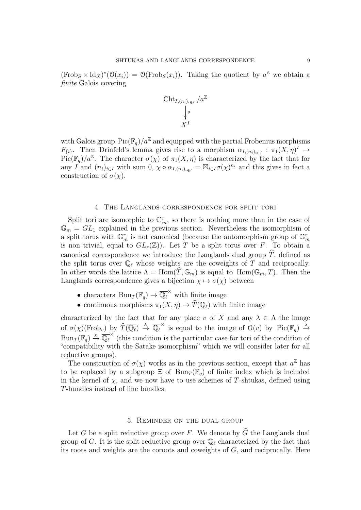$(\text{Frob}_S \times \text{Id}_X)^*(\mathcal{O}(x_i)) = \mathcal{O}(\text{Frob}_S(x_i)).$  Taking the quotient by  $a^{\mathbb{Z}}$  we obtain a finite Galois covering

$$
\operatorname{Cht}_{I,(n_i)_{i\in I}}/a^\mathbb{Z}
$$

$$
\downarrow^{\mathfrak{p}}
$$

$$
X^I
$$

with Galois group  $Pic(\mathbb{F}_q)/a^{\mathbb{Z}}$  and equipped with the partial Frobenius morphisms  $F_{\{i\}}$ . Then Drinfeld's lemma gives rise to a morphism  $\alpha_{I,(n_i)_{i\in I}} : \pi_1(X,\overline{\eta})^I \to$  $Pic(\mathbb{F}_q)/a^{\mathbb{Z}}$ . The character  $\sigma(\chi)$  of  $\pi_1(X,\overline{\eta})$  is characterized by the fact that for any I and  $(n_i)_{i\in I}$  with sum  $0, \chi \circ \alpha_{I,(n_i)_{i\in I}} = \boxtimes_{i\in I} \sigma(\chi)^{n_i}$  and this gives in fact a construction of  $\sigma(\chi)$ .

### 4. The Langlands correspondence for split tori

Split tori are isomorphic to  $\mathbb{G}_m^r$ , so there is nothing more than in the case of  $\mathbb{G}_m = GL_1$  explained in the previous section. Nevertheless the isomorphism of a split torus with  $\mathbb{G}_m^r$  is not canonical (because the automorphism group of  $\mathbb{G}_m^r$ is non trivial, equal to  $GL_r(\mathbb{Z})$ . Let T be a split torus over F. To obtain a canonical correspondence we introduce the Langlands dual group  $\hat{T}$ , defined as the split torus over  $\mathbb{Q}_\ell$  whose weights are the coweights of T and reciprocally. In other words the lattice  $\Lambda = \text{Hom}(\widehat{T}, \mathbb{G}_m)$  is equal to  $\text{Hom}(\mathbb{G}_m, T)$ . Then the Langlands correspondence gives a bijection  $\chi \mapsto \sigma(\chi)$  between

- characters  $\text{Bun}_T(\mathbb{F}_q) \to \overline{\mathbb{Q}_\ell}^\times$  with finite image
- continuous morphisms  $\pi_1(X, \overline{\eta}) \to \widehat{T}(\overline{\mathbb{Q}_\ell})$  with finite image

characterized by the fact that for any place v of X and any  $\lambda \in \Lambda$  the image of  $\sigma(\chi)(\text{Frob}_v)$  by  $\widehat{T}(\overline{\mathbb{Q}_\ell}) \stackrel{\lambda}{\to} \overline{\mathbb{Q}_\ell}^{\times}$  is equal to the image of  $\mathcal{O}(v)$  by  $\text{Pic}(\mathbb{F}_q) \stackrel{\lambda}{\to}$  $\text{Bun}_{T}(\mathbb{F}_{q}) \stackrel{\chi}{\to} \overline{\mathbb{Q}_{\ell}}^{\times}$  (this condition is the particular case for tori of the condition of "compatibility with the Satake isomorphism" which we will consider later for all reductive groups).

The construction of  $\sigma(\chi)$  works as in the previous section, except that  $a^{\mathbb{Z}}$  has to be replaced by a subgroup  $\Xi$  of  $Bun_T(\mathbb{F}_q)$  of finite index which is included in the kernel of  $\chi$ , and we now have to use schemes of T-shtukas, defined using T-bundles instead of line bundles.

## 5. Reminder on the dual group

Let G be a split reductive group over F. We denote by  $\widehat{G}$  the Langlands dual group of G. It is the split reductive group over  $\mathbb{Q}_\ell$  characterized by the fact that its roots and weights are the coroots and coweights of G, and reciprocally. Here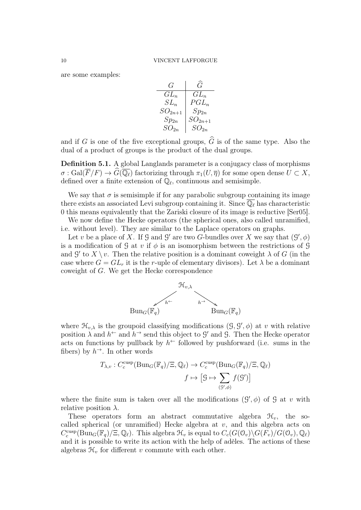are some examples:

$$
\begin{array}{c|c} G & \bar{G} \\ \hline GL_n & GL_n \\ SL_n & PGL_n \\ SO_{2n+1} & Sp_{2n} \\ Sp_{2n} & SO_{2n+1} \\ SO_{2n} & SO_{2n} \\ \end{array}
$$

and if G is one of the five exceptional groups,  $\widehat{G}$  is of the same type. Also the dual of a product of groups is the product of the dual groups.

Definition 5.1. A global Langlands parameter is a conjugacy class of morphisms  $\sigma : \text{Gal}(\overline{F}/F) \to G(\overline{\mathbb{Q}_\ell})$  factorizing through  $\pi_1(U, \overline{\eta})$  for some open dense  $U \subset X$ , defined over a finite extension of  $\mathbb{Q}_\ell$ , continuous and semisimple.

We say that  $\sigma$  is semisimple if for any parabolic subgroup containing its image there exists an associated Levi subgroup containing it. Since  $\overline{\mathbb{Q}_{\ell}}$  has characteristic 0 this means equivalently that the Zariski closure of its image is reductive [Ser05].

We now define the Hecke operators (the spherical ones, also called unramified, i.e. without level). They are similar to the Laplace operators on graphs.

Let v be a place of X. If G and G' are two G-bundles over X we say that  $(\mathcal{G}', \phi)$ is a modification of G at v if  $\phi$  is an isomorphism between the restrictions of G and  $\mathcal{G}'$  to  $X \setminus v$ . Then the relative position is a dominant coweight  $\lambda$  of G (in the case where  $G = GL_r$  it is the r-uple of elementary divisors). Let  $\lambda$  be a dominant coweight of G. We get the Hecke correspondence



where  $\mathcal{H}_{v,\lambda}$  is the groupoid classifying modifications  $(\mathcal{G}, \mathcal{G}', \phi)$  at v with relative position  $\lambda$  and  $h^{\leftarrow}$  and  $h^{\rightarrow}$  send this object to  $\mathcal{G}'$  and  $\mathcal{G}$ . Then the Hecke operator acts on functions by pullback by  $h^{\leftarrow}$  followed by pushforward (i.e. sums in the fibers) by  $h^{\rightarrow}$ . In other words

$$
T_{\lambda,v}: C_c^{\text{cusp}}(\text{Bun}_G(\mathbb{F}_q)/\Xi, \mathbb{Q}_\ell) \to C_c^{\text{cusp}}(\text{Bun}_G(\mathbb{F}_q)/\Xi, \mathbb{Q}_\ell)
$$

$$
f \mapsto \left[ \mathcal{G} \mapsto \sum_{(\mathcal{G}',\phi)} f(\mathcal{G}') \right]
$$

where the finite sum is taken over all the modifications  $(\mathcal{G}', \phi)$  of  $\mathcal{G}$  at v with relative position  $\lambda$ .

These operators form an abstract commutative algebra  $\mathcal{H}_v$ , the socalled spherical (or unramified) Hecke algebra at  $v$ , and this algebra acts on  $C_c^{\text{cusp}}(\text{Bun}_G(\mathbb{F}_q)/\Xi,\mathbb{Q}_\ell)$ . This algebra  $\mathcal{H}_v$  is equal to  $C_c(G(\mathcal{O}_v)\backslash G(\overline{F_v})/G(\mathcal{O}_v),\mathbb{Q}_\ell)$ and it is possible to write its action with the help of adèles. The actions of these algebras  $\mathcal{H}_v$  for different v commute with each other.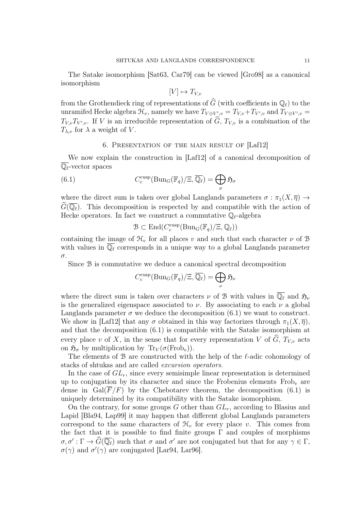The Satake isomorphism [Sat63, Car79] can be viewed [Gro98] as a canonical isomorphism

 $[V] \mapsto T_{V,v}$ 

from the Grothendieck ring of representations of  $\widehat{G}$  (with coefficients in  $\mathbb{O}_{\ell}$ ) to the unramifed Hecke algebra  $\mathcal{H}_v$ , namely we have  $T_{V \oplus V',v} = T_{V,v} + T_{V',v}$  and  $T_{V \otimes V',v} =$  $T_{V,v}T_{V',v}$ . If V is an irreducible representation of G,  $T_{V,v}$  is a combination of the  $T_{\lambda,v}$  for  $\lambda$  a weight of V.

## 6. Presentation of the main result of [Laf12]

We now explain the construction in [Laf12] of a canonical decomposition of  $\overline{\mathbb{Q}_\ell}$ -vector spaces

(6.1) 
$$
C_c^{\text{cusp}}(\text{Bun}_G(\mathbb{F}_q)/\Xi, \overline{\mathbb{Q}_\ell}) = \bigoplus_{\sigma} \mathfrak{H}_{\sigma}
$$

where the direct sum is taken over global Langlands parameters  $\sigma : \pi_1(X, \overline{\eta}) \to$  $G(\overline{\mathbb{Q}_\ell})$ . This decomposition is respected by and compatible with the action of Hecke operators. In fact we construct a commutative  $\mathbb{Q}_\ell$ -algebra

$$
\mathcal{B} \subset \text{End}(C_c^{\text{cusp}}(\text{Bun}_G(\mathbb{F}_q)/\Xi, \mathbb{Q}_\ell))
$$

containing the image of  $\mathcal{H}_v$  for all places v and such that each character  $\nu$  of  $\mathcal{B}$ with values in  $\overline{\mathbb{Q}_\ell}$  corresponds in a unique way to a global Langlands parameter σ.

Since B is commutative we deduce a canonical spectral decomposition

$$
C_c^{\text{cusp}}(\text{Bun}_G(\mathbb{F}_q)/\Xi, \overline{\mathbb{Q}_\ell}) = \bigoplus_{\nu} \mathfrak{H}_{\nu}
$$

where the direct sum is taken over characters  $\nu$  of B with values in  $\overline{\mathbb{Q}_\ell}$  and  $\mathfrak{H}_\nu$ is the generalized eigenspace associated to  $\nu$ . By associating to each  $\nu$  a global Langlands parameter  $\sigma$  we deduce the decomposition (6.1) we want to construct. We show in [Laf12] that any  $\sigma$  obtained in this way factorizes through  $\pi_1(X,\overline{\eta})$ , and that the decomposition (6.1) is compatible with the Satake isomorphism at every place v of X, in the sense that for every representation V of  $\widehat{G}$ ,  $T_{V,v}$  acts on  $\mathfrak{H}_{\sigma}$  by multiplication by  $\text{Tr}_V(\sigma(\text{Frob}_v)).$ 

The elements of B are constructed with the help of the  $\ell$ -adic cohomology of stacks of shtukas and are called excursion operators.

In the case of  $GL_r$ , since every semisimple linear representation is determined up to conjugation by its character and since the Frobenius elements  $Frob<sub>v</sub>$  are dense in  $Gal(\overline{F}/F)$  by the Chebotarev theorem, the decomposition (6.1) is uniquely determined by its compatibility with the Satake isomorphism.

On the contrary, for some groups G other than  $GL_r$ , according to Blasius and Lapid [Bla94, Lap99] it may happen that different global Langlands parameters correspond to the same characters of  $\mathcal{H}_v$  for every place v. This comes from the fact that it is possible to find finite groups  $\Gamma$  and couples of morphisms  $\sigma, \sigma' : \Gamma \to \widehat{G}(\overline{\mathbb{Q}_\ell})$  such that  $\sigma$  and  $\sigma'$  are not conjugated but that for any  $\gamma \in \Gamma$ ,  $\sigma(\gamma)$  and  $\sigma'(\gamma)$  are conjugated [Lar94, Lar96].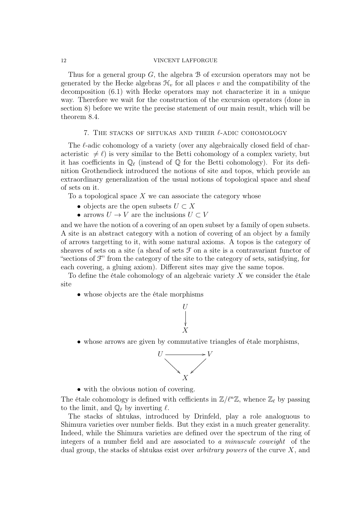Thus for a general group  $G$ , the algebra  $B$  of excursion operators may not be generated by the Hecke algebras  $\mathcal{H}_v$  for all places v and the compatibility of the decomposition (6.1) with Hecke operators may not characterize it in a unique way. Therefore we wait for the construction of the excursion operators (done in section 8) before we write the precise statement of our main result, which will be theorem 8.4.

## 7. THE STACKS OF SHTUKAS AND THEIR  $\ell$ -ADIC COHOMOLOGY

The  $\ell$ -adic cohomology of a variety (over any algebraically closed field of characteristic  $\neq \ell$ ) is very similar to the Betti cohomology of a complex variety, but it has coefficients in  $\mathbb{Q}_\ell$  (instead of  $\mathbb{Q}$  for the Betti cohomology). For its definition Grothendieck introduced the notions of site and topos, which provide an extraordinary generalization of the usual notions of topological space and sheaf of sets on it.

To a topological space  $X$  we can associate the category whose

- objects are the open subsets  $U \subset X$
- arrows  $U \to V$  are the inclusions  $U \subset V$

and we have the notion of a covering of an open subset by a family of open subsets. A site is an abstract category with a notion of covering of an object by a family of arrows targetting to it, with some natural axioms. A topos is the category of sheaves of sets on a site (a sheaf of sets  $\mathcal F$  on a site is a contravariant functor of "sections of  $\mathcal{F}$ " from the category of the site to the category of sets, satisfying, for each covering, a gluing axiom). Different sites may give the same topos.

To define the étale cohomology of an algebraic variety  $X$  we consider the étale site

• whose objects are the étale morphisms



• whose arrows are given by commutative triangles of étale morphisms,



• with the obvious notion of covering.

The étale cohomology is defined with cefficients in  $\mathbb{Z}/\ell^n\mathbb{Z}$ , whence  $\mathbb{Z}_\ell$  by passing to the limit, and  $\mathbb{Q}_\ell$  by inverting  $\ell$ .

The stacks of shtukas, introduced by Drinfeld, play a role analoguous to Shimura varieties over number fields. But they exist in a much greater generality. Indeed, while the Shimura varieties are defined over the spectrum of the ring of integers of a number field and are associated to a minuscule coweight of the dual group, the stacks of shtukas exist over *arbitrary powers* of the curve  $X$ , and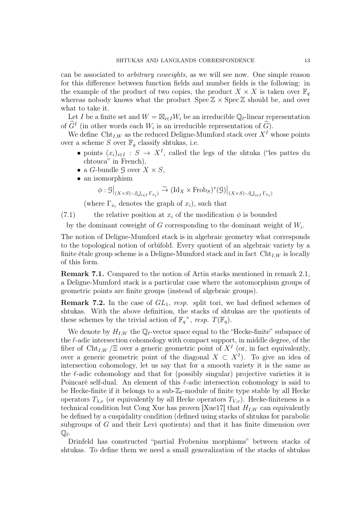can be associated to arbitrary coweights, as we will see now. One simple reason for this difference between function fields and number fields is the following: in the example of the product of two copies, the product  $X \times X$  is taken over  $\mathbb{F}_q$ whereas nobody knows what the product  $\text{Spec } \mathbb{Z} \times \text{Spec } \mathbb{Z}$  should be, and over what to take it.

Let I be a finite set and  $W = \boxtimes_{i \in I} W_i$  be an irreducible  $\mathbb{Q}_{\ell}$ -linear representation of  $\widehat{G}^I$  (in other words each  $W_i$  is an irreducible representation of  $\widehat{G}$ ).

We define Cht<sub>I,W</sub> as the reduced Deligne-Mumford stack over  $X<sup>I</sup>$  whose points over a scheme S over  $\mathbb{F}_q$  classify shtukas, i.e.

- points  $(x_i)_{i\in I} : S \to X^I$ , called the legs of the shtuka ("les pattes du chtouca" in French),
- a *G*-bundle 9 over  $X \times S$ ,
- an isomorphism

$$
\phi : \mathcal{G}\big|_{(X\times S)\smallsetminus(\bigcup_{i\in I}\Gamma_{x_i})}\stackrel{\sim}{\to} (\mathrm{Id}_X\times \mathrm{Frob}_S)^*(\mathcal{G})\big|_{(X\times S)\smallsetminus(\bigcup_{i\in I}\Gamma_{x_i})}
$$

(where  $\Gamma_{x_i}$  denotes the graph of  $x_i$ ), such that

(7.1) the relative position at  $x_i$  of the modification  $\phi$  is bounded

by the dominant coweight of G corresponding to the dominant weight of  $W_i$ .

The notion of Deligne-Mumford stack is in algebraic geometry what corresponds to the topological notion of orbifold. Every quotient of an algebraic variety by a finite étale group scheme is a Deligne-Mumford stack and in fact  $\mathrm{Cht}_{I,W}$  is locally of this form.

Remark 7.1. Compared to the notion of Artin stacks mentioned in remark 2.1, a Deligne-Mumford stack is a particular case where the automorphism groups of geometric points are finite groups (instead of algebraic groups).

**Remark 7.2.** In the case of  $GL_1$ , resp. split tori, we had defined schemes of shtukas. With the above definition, the stacks of shtukas are the quotients of these schemes by the trivial action of  $\mathbb{F}_q^{\times}$ , resp.  $T(\mathbb{F}_q)$ .

We denote by  $H_{I,W}$  the  $\mathbb{Q}_{\ell}$ -vector space equal to the "Hecke-finite" subspace of the  $\ell$ -adic intersection cohomology with compact support, in middle degree, of the fiber of Cht<sub>I,W</sub> / $\Xi$  over a generic geometric point of  $X<sup>I</sup>$  (or, in fact equivalently, over a generic geometric point of the diagonal  $X \subset X<sup>I</sup>$ ). To give an idea of intersection cohomology, let us say that for a smooth variety it is the same as the  $\ell$ -adic cohomology and that for (possibly singular) projective varieties it is Poincaré self-dual. An element of this  $\ell$ -adic intersection cohomology is said to be Hecke-finite if it belongs to a sub- $\mathbb{Z}_{\ell}$ -module of finite type stable by all Hecke operators  $T_{\lambda,v}$  (or equivalently by all Hecke operators  $T_{V,v}$ ). Hecke-finiteness is a technical condition but Cong Xue has proven [Xue17] that  $H_{I,W}$  can equivalently be defined by a cuspidality condition (defined using stacks of shtukas for parabolic subgroups of G and their Levi quotients) and that it has finite dimension over  $\mathbb{Q}_\ell$  .

Drinfeld has constructed "partial Frobenius morphisms" between stacks of shtukas. To define them we need a small generalization of the stacks of shtukas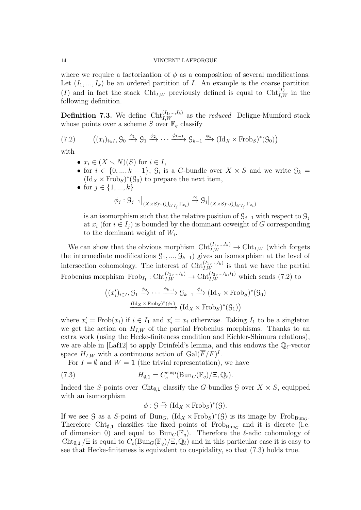where we require a factorization of  $\phi$  as a composition of several modifications. Let  $(I_1, ..., I_k)$  be an ordered partition of I. An example is the coarse partition (I) and in fact the stack  $\text{Cht}_{I,W}$  previously defined is equal to  $\text{Cht}_{I,W}^{(I)}$  in the following definition.

**Definition 7.3.** We define  $\text{Cht}_{I,W}^{(I_1,...,I_k)}$  as the *reduced* Deligne-Mumford stack whose points over a scheme S over  $\mathbb{F}_q$  classify

(7.2) 
$$
((x_i)_{i \in I}, \mathcal{G}_0 \xrightarrow{\phi_1} \mathcal{G}_1 \xrightarrow{\phi_2} \cdots \xrightarrow{\phi_{k-1}} \mathcal{G}_{k-1} \xrightarrow{\phi_k} (\text{Id}_X \times \text{Frob}_S)^*(\mathcal{G}_0))
$$

with

- $x_i \in (X \setminus N)(S)$  for  $i \in I$ ,
- for  $i \in \{0, ..., k-1\}$ ,  $\mathcal{G}_i$  is a G-bundle over  $X \times S$  and we write  $\mathcal{G}_k =$  $(\mathrm{Id}_X \times \mathrm{Frob}_S)^*(\mathcal{G}_0)$  to prepare the next item,
- for  $j \in \{1, ..., k\}$

$$
\phi_j: \mathcal{G}_{j-1}\big|_{(X\times S)\smallsetminus (\bigcup_{i\in I_j}\Gamma_{x_i})}\stackrel{\sim}{\to} \mathcal{G}_j\big|_{(X\times S)\smallsetminus (\bigcup_{i\in I_j}\Gamma_{x_i})}
$$

is an isomorphism such that the relative position of  $\mathcal{G}_{i-1}$  with respect to  $\mathcal{G}_i$ at  $x_i$  (for  $i \in I_i$ ) is bounded by the dominant coweight of G corresponding to the dominant weight of  $W_i$ .

We can show that the obvious morphism  $\mathrm{Cht}_{I,W}^{(I_1,...,I_k)} \to \mathrm{Cht}_{I,W}$  (which forgets the intermediate modifications  $\mathcal{G}_1, ..., \mathcal{G}_{k-1}$  gives an isomorphism at the level of intersection cohomology. The interest of  $\text{Cht}_{I,W}^{(I_1,...,I_k)}$  is that we have the partial Frobenius morphism  $\text{Frob}_{I_1}: \text{Cht}_{I,W}^{(I_1,...,I_k)} \to \text{Cht}_{I,W}^{(I_2,...,I_k,I_1)}$  which sends (7.2) to

$$
((x_i')_{i \in I}, g_1 \xrightarrow{\phi_2} \cdots \xrightarrow{\phi_{k-1}} g_{k-1} \xrightarrow{\phi_k} (\text{Id}_X \times \text{Frob}_S)^*(g_0)
$$

$$
\xrightarrow{(\text{Id}_X \times \text{Frob}_S)^*(\phi_1)} (\text{Id}_X \times \text{Frob}_S)^*(g_1))
$$

where  $x'_i$  = Frob $(x_i)$  if  $i \in I_1$  and  $x'_i = x_i$  otherwise. Taking  $I_1$  to be a singleton we get the action on  $H_{I,W}$  of the partial Frobenius morphisms. Thanks to an extra work (using the Hecke-finiteness condition and Eichler-Shimura relations), we are able in [Laf12] to apply Drinfeld's lemma, and this endows the  $\mathbb{Q}_\ell$ -vector space  $H_{I,W}$  with a continuous action of  $Gal(\overline{F}/F)^{I}$ .

For  $I = \emptyset$  and  $W = \mathbf{1}$  (the trivial representation), we have

(7.3) 
$$
H_{\emptyset,1} = C_c^{\text{cusp}}(\text{Bun}_G(\mathbb{F}_q)/\Xi, \mathbb{Q}_\ell).
$$

Indeed the S-points over Cht<sub>Ø,1</sub> classify the G-bundles G over  $X \times S$ , equipped with an isomorphism

$$
\phi: \mathcal{G} \stackrel{\sim}{\rightarrow} (\mathrm{Id}_X \times \mathrm{Frob}_S)^*(\mathcal{G}).
$$

If we see G as a S-point of Bun<sub>G</sub>,  $(\text{Id}_X \times \text{Frob}_S)^*(\mathcal{G})$  is its image by  $\text{Frob}_{\text{Bun}_G}$ . Therefore Cht<sub> $\varnothing, 1$ </sub> classifies the fixed points of Frob<sub>Bun<sub>G</sub></sub> and it is dicrete (i.e. of dimension 0) and equal to  $Bun_G(\mathbb{F}_q)$ . Therefore the  $\ell$ -adic cohomology of Cht<sub>Ø,1</sub> /Ξ is equal to  $C_c(\text{Bun}_G(\mathbb{F}_q)/\Xi,\mathbb{Q}_\ell)$  and in this particular case it is easy to see that Hecke-finiteness is equivalent to cuspidality, so that (7.3) holds true.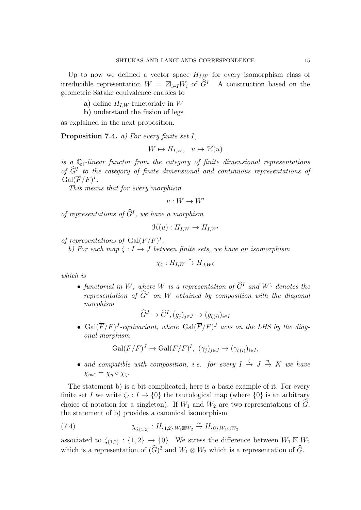Up to now we defined a vector space  $H_{I,W}$  for every isomorphism class of irreducible representation  $W = \boxtimes_{i \in I} W_i$  of  $\widehat{G}^I$ . A construction based on the geometric Satake equivalence enables to

- a) define  $H_{I,W}$  functorialy in W
- b) understand the fusion of legs

as explained in the next proposition.

**Proposition 7.4.** *a)* For every finite set  $I$ ,

$$
W \mapsto H_{I,W}, \quad u \mapsto \mathfrak{H}(u)
$$

is a  $\mathbb{Q}_\ell$ -linear functor from the category of finite dimensional representations of  $\hat{G}^I$  to the category of finite dimensional and continuous representations of  $Gal(\overline{F}/F)^{I}.$ 

This means that for every morphism

 $u: W \to W'$ 

of representations of  $\tilde{G}^I$ , we have a morphism

$$
\mathfrak{H}(u): H_{I,W} \to H_{I,W'}
$$

of representations of  $Gal(\overline{F}/F)^{I}$ .

b) For each map  $\zeta : I \to J$  between finite sets, we have an isomorphism

$$
\chi_{\zeta}:H_{I,W}\overset{\sim}{\to}H_{J,W}\varsigma
$$

which is

• functorial in W, where W is a representation of  $\widehat{G}^I$  and  $W^{\zeta}$  denotes the representation of  $\widehat{G}^J$  on W obtained by composition with the diagonal morphism

$$
\widehat{G}^J \to \widehat{G}^I, (g_j)_{j \in J} \mapsto (g_{\zeta(i)})_{i \in I}
$$

• Gal $(\overline{F}/F)^J$ -equivariant, where Gal $(\overline{F}/F)^J$  acts on the LHS by the diagonal morphism

$$
\operatorname{Gal}(\overline{F}/F)^J \to \operatorname{Gal}(\overline{F}/F)^I, \ (\gamma_j)_{j \in J} \mapsto (\gamma_{\zeta(i)})_{i \in I},
$$

• and compatible with composition, i.e. for every  $I \stackrel{\zeta}{\to} J \stackrel{\eta}{\to} K$  we have  $\chi_{\eta \circ \zeta} = \chi_{\eta} \circ \chi_{\zeta}.$ 

The statement b) is a bit complicated, here is a basic example of it. For every finite set I we write  $\zeta_I : I \to \{0\}$  the tautological map (where  $\{0\}$ ) is an arbitrary choice of notation for a singleton). If  $W_1$  and  $W_2$  are two representations of  $\hat{G}_1$ , the statement of b) provides a canonical isomorphism

(7.4) 
$$
\chi_{\zeta_{\{1,2\}}} : H_{\{1,2\},W_1 \boxtimes W_2} \xrightarrow{\sim} H_{\{0\},W_1 \otimes W_2}
$$

associated to  $\zeta_{\{1,2\}}: \{1,2\} \to \{0\}$ . We stress the difference between  $W_1 \boxtimes W_2$ which is a representation of  $(\widehat{G})^2$  and  $W_1 \otimes W_2$  which is a representation of  $\widehat{G}$ .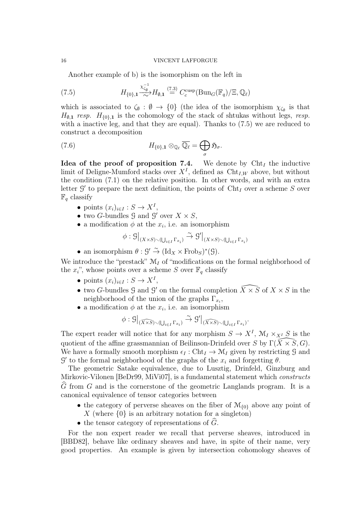Another example of b) is the isomorphism on the left in

(7.5) 
$$
H_{\{0\},\mathbf{1}} \stackrel{\chi_{\zeta_{\emptyset}^{-1}}^{-1}}{\sim} H_{\emptyset,\mathbf{1}} \stackrel{(7.3)}{=} C_c^{\text{cusp}}(\text{Bun}_G(\mathbb{F}_q)/\Xi, \mathbb{Q}_\ell)
$$

which is associated to  $\zeta_{\emptyset} : \emptyset \to \{0\}$  (the idea of the isomorphism  $\chi_{\zeta_{\emptyset}}$  is that  $H_{0,1}$  resp.  $H_{0,1}$  is the cohomology of the stack of shtukas without legs, resp. with a inactive leg, and that they are equal). Thanks to  $(7.5)$  we are reduced to construct a decomposition

(7.6) 
$$
H_{\{0\},\mathbf{1}}\otimes_{\mathbb{Q}_{\ell}}\overline{\mathbb{Q}_{\ell}}=\bigoplus_{\sigma}\mathfrak{H}_{\sigma}.
$$

Idea of the proof of proposition 7.4. We denote by  $\mathrm{Cht}_I$  the inductive limit of Deligne-Mumford stacks over  $X<sup>I</sup>$ , defined as  $\text{Cht}_{I,W}$  above, but without the condition (7.1) on the relative position. In other words, and with an extra letter  $\mathcal{G}'$  to prepare the next definition, the points of  $\mathrm{Cht}_I$  over a scheme S over  $\mathbb{F}_q$  classify

- points  $(x_i)_{i\in I}: S \to X^I$ ,
- two G-bundles  $\mathcal G$  and  $\mathcal G'$  over  $X \times S$ ,
- a modification  $\phi$  at the  $x_i$ , i.e. an isomorphism

$$
\phi : \mathcal{G}\big|_{(X\times S)\smallsetminus (\bigcup_{i\in I}\Gamma_{x_i})} \xrightarrow{\sim} \mathcal{G}'\big|_{(X\times S)\smallsetminus (\bigcup_{i\in I}\Gamma_{x_i})}
$$

• an isomorphism  $\theta : \mathcal{G}' \stackrel{\sim}{\to} (\mathrm{Id}_X \times \mathrm{Frob}_S)^*(\mathcal{G})$ .

We introduce the "prestack"  $\mathcal{M}_I$  of "modifications on the formal neighborhood of the  $x_i$ ", whose points over a scheme S over  $\mathbb{F}_q$  classify

- points  $(x_i)_{i\in I}: S \to X^I$ ,
- two G-bundles  $\mathcal G$  and  $\mathcal G'$  on the formal completion  $\widehat{X\times S}$  of  $X\times S$  in the neighborhood of the union of the graphs  $\Gamma_{x_i}$ ,
- a modification  $\phi$  at the  $x_i$ , i.e. an isomorphism

$$
\phi: \mathcal{G}\big|_{(\widehat{X\times S})\smallsetminus (\bigcup_{i\in I}\Gamma_{x_i})}\stackrel{\sim}{\to} \mathcal{G}'\big|_{(\widehat{X\times S})\smallsetminus (\bigcup_{i\in I}\Gamma_{x_i})}.
$$

The expert reader will notice that for any morphism  $S \to X^I$ ,  $\mathcal{M}_I \times_{X^I} S$  is the quotient of the affine grassmannian of Beilinson-Drinfeld over S by  $\Gamma(\bar X\times \bar S, G)$ . We have a formally smooth morphism  $\epsilon_I : \text{Cht}_I \to \mathcal{M}_I$  given by restricting G and  $\mathcal{G}'$  to the formal neighborhood of the graphs of the  $x_i$  and forgetting  $\theta$ .

The geometric Satake equivalence, due to Lusztig, Drinfeld, Ginzburg and Mirkovic-Vilonen [BeDr99, MiVi07], is a fundamental statement which constructs  $\hat{G}$  from G and is the cornerstone of the geometric Langlands program. It is a canonical equivalence of tensor categories between

- the category of perverse sheaves on the fiber of  $\mathcal{M}_{\{0\}}$  above any point of X (where  $\{0\}$  is an arbitrary notation for a singleton)
- the tensor category of representations of  $\tilde{G}$ .

For the non expert reader we recall that perverse sheaves, introduced in [BBD82], behave like ordinary sheaves and have, in spite of their name, very good properties. An example is given by intersection cohomology sheaves of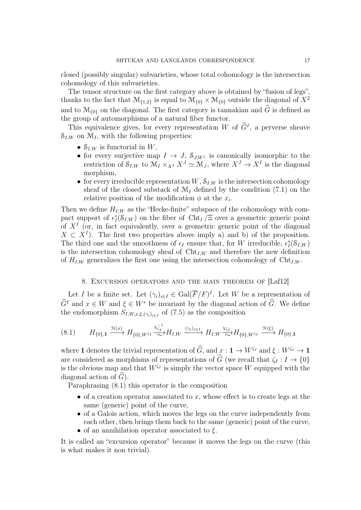closed (possibly singular) subvarieties, whose total cohomology is the intersection cohomology of this subvarieties.

The tensor structure on the first category above is obtained by "fusion of legs", thanks to the fact that  $\mathcal{M}_{\{1,2\}}$  is equal to  $\mathcal{M}_{\{0\}} \times \mathcal{M}_{\{0\}}$  outside the diagonal of  $X^2$ and to  $\mathcal{M}_{\{0\}}$  on the diagonal. The first category is tannakian and  $\widehat{G}$  is defined as the group of automorphisms of a natural fiber functor.

This equivalence gives, for every representation W of  $\tilde{G}^I$ , a perverse sheave  $\mathcal{S}_{I,W}$  on  $\mathcal{M}_I$ , with the following properties:

- $S_{I,W}$  is functorial in W,
- for every surjective map  $I \to J$ ,  $S_{J,W\zeta}$  is canonically isomorphic to the restriction of  $S_{I,W}$  to  $\mathcal{M}_I \times_{X^I} X^J \simeq \mathcal{M}_J$ , where  $X^J \to X^I$  is the diagonal morphism,
- for every irreducible representation  $W$ ,  $\mathcal{S}_{I,W}$  is the intersection cohomology sheaf of the closed substack of  $\mathcal{M}_I$  defined by the condition (7.1) on the relative position of the modification  $\phi$  at the  $x_i$ .

Then we define  $H_{I,W}$  as the "Hecke-finite" subspace of the cohomology with compact support of  $\epsilon_I^*(S_{I,W})$  on the fiber of Cht<sub>I</sub> /Ξ over a geometric generic point of  $X<sup>I</sup>$  (or, in fact equivalently, over a geometric generic point of the diagonal  $X \subset X^{I}$ ). The first two properties above imply a) and b) of the proposition. The third one and the smoothness of  $\epsilon_I$  ensure that, for W irreducible,  $\epsilon_I^*(\mathcal{S}_{I,W})$ is the intersection cohomology sheaf of  $\mathrm{Cht}_{I,W}$  and therefore the new definition of  $H_{I,W}$  generalizes the first one using the intersection cohomology of  $\mathrm{Cht}_{I,W}$ .

# 8. Excursion operators and the main theorem of [Laf12]

Let I be a finite set. Let  $(\gamma_i)_{i \in I} \in \text{Gal}(\overline{F}/F)^I$ . Let W be a representation of  $\widehat{G}^I$  and  $x \in W$  and  $\xi \in W^*$  be invariant by the diagonal action of  $\widehat{G}$ . We define the endomorphism  $S_{I,W,x,\xi,(\gamma_i)_{i\in I}}$  of  $(7.5)$  as the composition

$$
(8.1) \qquad H_{\{0\},\mathbf{1}} \xrightarrow{\mathcal{H}(x)} H_{\{0\},W^{\zeta_I}} \xrightarrow{\chi_{\zeta_I}^{-1}} H_{I,W} \xrightarrow{(\gamma_i)_{i \in I}} H_{I,W} \xrightarrow{\chi_{\zeta_I}} H_{\{0\},W^{\zeta_I}} \xrightarrow{\mathcal{H}(\xi)} H_{\{0\},\mathbf{1}}
$$

where 1 denotes the trivial representation of  $\widehat{G}$ , and  $x : 1 \to W^{\zeta_I}$  and  $\xi : W^{\zeta_I} \to 1$ are considered as morphisms of representations of  $\widehat{G}$  (we recall that  $\zeta_I : I \to \{0\}$ is the obvious map and that  $W^{\zeta_I}$  is simply the vector space W equipped with the diagonal action of  $\tilde{G}$ ).

Paraphrasing (8.1) this operator is the composition

- of a creation operator associated to  $x$ , whose effect is to create legs at the same (generic) point of the curve,
- of a Galois action, which moves the legs on the curve independently from each other, then brings them back to the same (generic) point of the curve,
- of an annihilation operator associated to  $\xi$ .

It is called an "excursion operator" because it moves the legs on the curve (this is what makes it non trivial).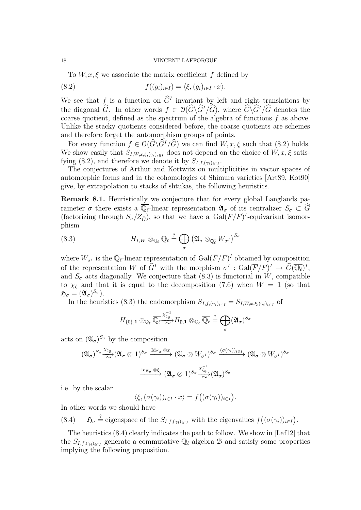To  $W, x, \xi$  we associate the matrix coefficient f defined by

(8.2) 
$$
f((g_i)_{i\in I}) = \langle \xi, (g_i)_{i\in I} \cdot x \rangle.
$$

We see that f is a function on  $\hat{G}^I$  invariant by left and right translations by the diagonal  $\widehat{G}$ . In other words  $f \in \mathcal{O}(\widehat{G}\backslash\widehat{G}^I/\widehat{G})$ , where  $\widehat{G}\backslash\widehat{G}^I/\widehat{G}$  denotes the coarse quotient, defined as the spectrum of the algebra of functions  $f$  as above. Unlike the stacky quotients considered before, the coarse quotients are schemes and therefore forget the automorphism groups of points.

For every function  $f \in \mathcal{O}(\widehat{G}\setminus\widehat{G}^I/\widehat{G})$  we can find  $W, x, \xi$  such that (8.2) holds. We show easily that  $S_{I,W,x,\xi,(\gamma_i)_{i\in I}}$  does not depend on the choice of  $W, x, \xi$  satisfying (8.2), and therefore we denote it by  $S_{I,f,(\gamma_i)_{i\in I}}$ .

The conjectures of Arthur and Kottwitz on multiplicities in vector spaces of automorphic forms and in the cohomologies of Shimura varieties [Art89, Kot90] give, by extrapolation to stacks of shtukas, the following heuristics.

Remark 8.1. Heuristically we conjecture that for every global Langlands parameter  $\sigma$  there exists a  $\overline{\mathbb{Q}_\ell}$ -linear representation  $\mathfrak{A}_\sigma$  of its centralizer  $S_\sigma \subset \widehat{G}$ (factorizing through  $S_{\sigma}/Z_{\widehat{G}}$ ), so that we have a  $Gal(\overline{F}/F)^{I}$ -equivariant isomorphism

(8.3) 
$$
H_{I,W} \otimes_{\mathbb{Q}_{\ell}} \overline{\mathbb{Q}_{\ell}} \stackrel{?}{=} \bigoplus_{\sigma} \left( \mathfrak{A}_{\sigma} \otimes_{\overline{\mathbb{Q}_{\ell}}} W_{\sigma^I} \right)^{S_{\sigma}}
$$

where  $W_{\sigma I}$  is the  $\overline{\mathbb{Q}_\ell}$ -linear representation of  $\text{Gal}(\overline{F}/F)^{I}$  obtained by composition of the representation W of  $\widehat{G}^I$  with the morphism  $\sigma^I : \text{Gal}(\overline{F}/F)^I \to \widehat{G}(\overline{\mathbb{Q}_\ell})^I$ , and  $S_{\sigma}$  acts diagonally. We conjecture that (8.3) is functorial in W, compatible to  $\chi_{\zeta}$  and that it is equal to the decomposition (7.6) when  $W = 1$  (so that  $\mathfrak{H}_\sigma=(\mathfrak{A}_\sigma)^{S_\sigma}).$ 

In the heuristics (8.3) the endomorphism  $S_{I,f,(\gamma_i)_{i\in I}} = S_{I,W,x,\xi,(\gamma_i)_{i\in I}}$  of

$$
H_{\{0\},\mathbf{1}}\otimes_{\mathbb{Q}_{\ell}}\overline{\mathbb{Q}_{\ell}}\xrightarrow{\chi_{\zeta_{\emptyset}}^{-1}}H_{\emptyset,\mathbf{1}}\otimes_{\mathbb{Q}_{\ell}}\overline{\mathbb{Q}_{\ell}}\xrightarrow{\gamma}\bigoplus_{\sigma}(\mathfrak{A}_{\sigma})^{S_{\sigma}}
$$

acts on  $(\mathfrak{A}_{\sigma})^{S_{\sigma}}$  by the composition

$$
(\mathfrak{A}_{\sigma})^{S_{\sigma}} \xrightarrow{\chi_{\zeta_{\emptyset}}} (\mathfrak{A}_{\sigma} \otimes \mathbf{1})^{S_{\sigma}} \xrightarrow{\mathrm{Id}_{\mathfrak{A}_{\sigma}} \otimes x} (\mathfrak{A}_{\sigma} \otimes W_{\sigma^{I}})^{S_{\sigma}} \xrightarrow{(\sigma(\gamma_{i}))_{i \in I}} (\mathfrak{A}_{\sigma} \otimes W_{\sigma^{I}})^{S_{\sigma}}
$$

$$
\xrightarrow{\mathrm{Id}_{\mathfrak{A}_{\sigma}} \otimes \xi} (\mathfrak{A}_{\sigma} \otimes \mathbf{1})^{S_{\sigma}} \xrightarrow{\chi_{\zeta_{\emptyset}}^{-1}} (\mathfrak{A}_{\sigma})^{S_{\sigma}}
$$

i.e. by the scalar

 $\langle \xi, (\sigma(\gamma_i))_{i \in I} \cdot x \rangle = f((\sigma(\gamma_i))_{i \in I}).$ 

In other words we should have

(8.4)  $\mathfrak{H}_{\sigma} \stackrel{?}{=}$  eigenspace of the  $S_{I,f,(\gamma_i)_{i\in I}}$  with the eigenvalues  $f((\sigma(\gamma_i))_{i\in I})$ .

The heuristics (8.4) clearly indicates the path to follow. We show in [Laf12] that the  $S_{I,f,(\gamma_i)_{i\in I}}$  generate a commutative  $\mathbb{Q}_{\ell}$ -algebra B and satisfy some properties implying the following proposition.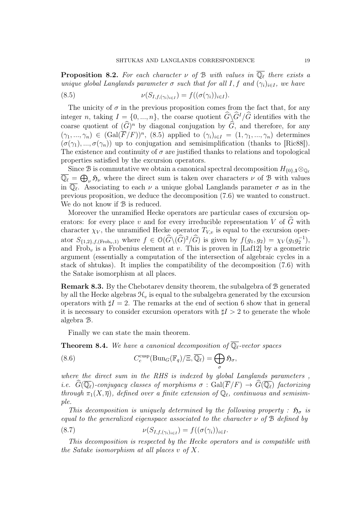**Proposition 8.2.** For each character  $\nu$  of B with values in  $\overline{\mathbb{Q}_\ell}$  there exists a unique global Langlands parameter  $\sigma$  such that for all I, f and  $(\gamma_i)_{i\in I}$ , we have

(8.5) 
$$
\nu(S_{I,f,(\gamma_i)_{i\in I}}) = f((\sigma(\gamma_i))_{i\in I}).
$$

The unicity of  $\sigma$  in the previous proposition comes from the fact that, for any integer n, taking  $I = \{0, ..., n\}$ , the coarse quotient  $\widehat{G}\backslash\widehat{G}^I/\widehat{G}$  identifies with the coarse quotient of  $(\widehat{G})^n$  by diagonal conjugation by  $\widehat{G}$ , and therefore, for any  $(\gamma_1, ..., \gamma_n) \in (Gal(\overline{F}/F))^n, (8.5)$  applied to  $(\gamma_i)_{i \in I} = (1, \gamma_1, ..., \gamma_n)$  determines  $(\sigma(\gamma_1), ..., \sigma(\gamma_n))$  up to conjugation and semisimplification (thanks to [Ric88]). The existence and continuity of  $\sigma$  are justified thanks to relations and topological properties satisfied by the excursion operators.

Since B is commutative we obtain a canonical spectral decomposition  $H_{\{0\},1}\otimes_{\mathbb{Q}_\ell}$  $\overline{\mathbb{Q}_\ell} = \bigoplus_{\nu} \mathfrak{H}_{\nu}$  where the direct sum is taken over characters  $\nu$  of B with values in  $\overline{\mathbb{Q}_\ell}$ . Associating to each  $\nu$  a unique global Langlands parameter  $\sigma$  as in the previous proposition, we deduce the decomposition (7.6) we wanted to construct. We do not know if  $\mathcal B$  is reduced.

Moreover the unramified Hecke operators are particular cases of excursion operators: for every place v and for every irreducible representation V of  $\widehat{G}$  with character  $\chi_V$ , the unramified Hecke operator  $T_{V,v}$  is equal to the excursion operator  $S_{\{1,2\},f,(\text{Frob}_v,1)}$  where  $f \in \mathcal{O}(\widehat{G}\backslash(\widehat{G})^2/\widehat{G})$  is given by  $f(g_1, g_2) = \chi_V(g_1g_2^{-1}),$ and Frob<sub>v</sub> is a Frobenius element at v. This is proven in [Laf12] by a geometric argument (essentially a computation of the intersection of algebraic cycles in a stack of shtukas). It implies the compatibility of the decomposition (7.6) with the Satake isomorphism at all places.

Remark 8.3. By the Chebotarev density theorem, the subalgebra of B generated by all the Hecke algebras  $\mathcal{H}_v$  is equal to the subalgebra generated by the excursion operators with  $\sharp I = 2$ . The remarks at the end of section 6 show that in general it is necessary to consider excursion operators with  $\sharp I > 2$  to generate the whole algebra B.

Finally we can state the main theorem.

**Theorem 8.4.** We have a canonical decomposition of  $\overline{\mathbb{Q}_\ell}$ -vector spaces

(8.6) 
$$
C_c^{\text{cusp}}(\text{Bun}_G(\mathbb{F}_q)/\Xi, \overline{\mathbb{Q}_\ell}) = \bigoplus_{\sigma} \mathfrak{H}_{\sigma},
$$

where the direct sum in the RHS is indexed by global Langlands parameters, i.e.  $\widehat{G}(\overline{\mathbb{Q}_\ell})$ -conjugacy classes of morphisms  $\sigma : \text{Gal}(\overline{F}/F) \to \widehat{G}(\overline{\mathbb{Q}_\ell})$  factorizing through  $\pi_1(X,\overline{\eta})$ , defined over a finite extension of  $\mathbb{Q}_\ell$ , continuous and semisimple.

This decomposition is uniquely determined by the following property :  $\mathfrak{H}_{\sigma}$  is equal to the generalized eigenspace associated to the character  $\nu$  of  $\mathcal B$  defined by

(8.7) 
$$
\nu(S_{I,f,(\gamma_i)_{i\in I}}) = f((\sigma(\gamma_i))_{i\in I}.
$$

This decomposition is respected by the Hecke operators and is compatible with the Satake isomorphism at all places  $v$  of  $X$ .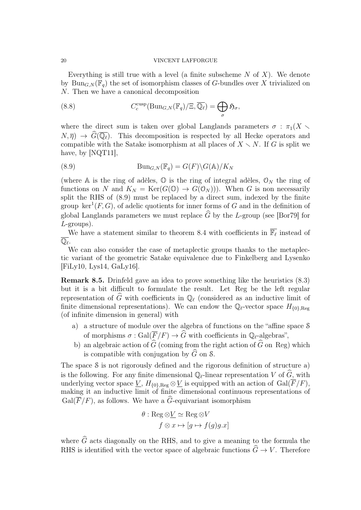Everything is still true with a level (a finite subscheme  $N$  of  $X$ ). We denote by Bun<sub>G,N</sub>( $\mathbb{F}_q$ ) the set of isomorphism classes of G-bundles over X trivialized on N. Then we have a canonical decomposition

(8.8) 
$$
C_c^{\text{cusp}}(\text{Bun}_{G,N}(\mathbb{F}_q)/\Xi, \overline{\mathbb{Q}_\ell}) = \bigoplus_{\sigma} \mathfrak{H}_{\sigma},
$$

where the direct sum is taken over global Langlands parameters  $\sigma$  :  $\pi_1(X \sim$  $N, \overline{\eta}$   $\rightarrow \widehat{G}(\overline{\mathbb{Q}_\ell})$ . This decomposition is respected by all Hecke operators and compatible with the Satake isomorphism at all places of  $X \setminus N$ . If G is split we have, by [NQT11],

(8.9) 
$$
\text{Bun}_{G,N}(\mathbb{F}_q) = G(F) \backslash G(\mathbb{A}) / K_N
$$

(where A is the ring of adèles,  $\mathbb{O}$  is the ring of integral adèles,  $\mathcal{O}_N$  the ring of functions on N and  $K_N = \text{Ker}(G(\mathbb{O}) \to G(\mathbb{O}_N))$ . When G is non necessarily split the RHS of (8.9) must be replaced by a direct sum, indexed by the finite group  $\ker^1(F, G)$ , of adelic quotients for inner forms of G and in the definition of global Langlands parameters we must replace  $\hat{G}$  by the L-group (see [Bor79] for L-groups).

We have a statement similar to theorem 8.4 with coefficients in  $\overline{\mathbb{F}_\ell}$  instead of  $\overline{\mathbb{Q}_\ell}.$ 

We can also consider the case of metaplectic groups thanks to the metaplectic variant of the geometric Satake equivalence due to Finkelberg and Lysenko  $[FiLy10, Lys14, Galy16].$ 

Remark 8.5. Drinfeld gave an idea to prove something like the heuristics (8.3) but it is a bit difficult to formulate the result. Let Reg be the left regular representation of  $\widehat{G}$  with coefficients in  $\mathbb{Q}_{\ell}$  (considered as an inductive limit of finite dimensional representations). We can endow the  $\mathbb{Q}_\ell$ -vector space  $H_{\{0\},\text{Reg}}$ (of infinite dimension in general) with

- a) a structure of module over the algebra of functions on the "affine space S of morphisms  $\sigma : \text{Gal}(\overline{F}/F) \to \widehat{G}$  with coefficients in  $\mathbb{Q}_{\ell}$ -algebras",
- b) an algebraic action of  $\widehat{G}$  (coming from the right action of  $\widehat{G}$  on Reg) which is compatible with conjugation by  $\widehat{G}$  on S.

The space S is not rigorously defined and the rigorous definition of structure a) is the following. For any finite dimensional  $\mathbb{Q}_{\ell}$ -linear representation V of  $\widehat{G}$ , with underlying vector space  $\underline{V}$ ,  $H_{0}$ <sub>Reg</sub>  $\otimes \underline{V}$  is equipped with an action of  $Gal(\overline{F}/F)$ , making it an inductive limit of finite dimensional continuous representations of  $Gal(\overline{F}/F)$ , as follows. We have a  $\widehat{G}$ -equivariant isomorphism

$$
\theta : \text{Reg} \otimes \underline{V} \simeq \text{Reg} \otimes V
$$

$$
f \otimes x \mapsto [g \mapsto f(g)g.x]
$$

where  $\widehat{G}$  acts diagonally on the RHS, and to give a meaning to the formula the RHS is identified with the vector space of algebraic functions  $\widehat{G} \to V$ . Therefore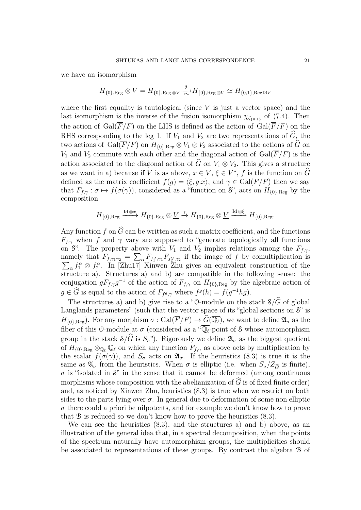we have an isomorphism

$$
H_{\{0\},\text{Reg}}\otimes\underline{V}=H_{\{0\},\text{Reg}\otimes\underline{V}}\xrightarrow{\theta}H_{\{0\},\text{Reg}\otimes V}\simeq H_{\{0,1\},\text{Reg}\otimes V}
$$

where the first equality is tautological (since  $V$  is just a vector space) and the last isomorphism is the inverse of the fusion isomorphism  $\chi_{\zeta_{0,1}}$  of (7.4). Then the action of  $Gal(\overline{F}/F)$  on the LHS is defined as the action of  $Gal(\overline{F}/F)$  on the RHS corresponding to the leg 1. If  $V_1$  and  $V_2$  are two representations of  $\widehat{G}$ , the two actions of Gal( $\overline{F}/F$ ) on  $H_{\{0\},\text{Reg}} \otimes V_1 \otimes V_2$  associated to the actions of  $\widehat{G}$  on  $V_1$  and  $V_2$  commute with each other and the diagonal action of  $Gal(\overline{F}/F)$  is the action associated to the diagonal action of  $\hat{G}$  on  $V_1 \otimes V_2$ . This gives a structure as we want in a) because if V is as above,  $x \in V$ ,  $\xi \in V^*$ , f is the function on  $\widehat{G}$ defined as the matrix coefficient  $f(g) = \langle \xi, g.x \rangle$ , and  $\gamma \in \text{Gal}(\overline{F}/F)$  then we say that  $F_{f,\gamma}: \sigma \mapsto f(\sigma(\gamma))$ , considered as a "function on S", acts on  $H_{\{0\},\text{Reg}}$  by the composition

$$
H_{\{0\},\text{Reg}} \xrightarrow{\text{Id}\otimes x} H_{\{0\},\text{Reg}} \otimes \underline{V} \xrightarrow{\gamma} H_{\{0\},\text{Reg}} \otimes \underline{V} \xrightarrow{\text{Id}\otimes \xi} H_{\{0\},\text{Reg}}.
$$

Any function f on  $\widehat{G}$  can be written as such a matrix coefficient, and the functions  $F_{f,\gamma}$  when f and  $\gamma$  vary are supposed to "generate topologically all functions on S". The property above with  $V_1$  and  $V_2$  implies relations among the  $F_{f,\gamma}$ , namely that  $F_{f,\gamma_1\gamma_2} = \sum_{\alpha} F_{f_1^{\alpha},\gamma_1} F_{f_2^{\alpha},\gamma_2}$  if the image of f by comultiplication is  $\sum_{\alpha} f_1^{\alpha} \otimes f_2^{\alpha}$ . In [Zhu17] Xinwen Zhu gives an equivalent construction of the structure a). Structures a) and b) are compatible in the following sense: the conjugation  $gF_{f,\gamma}g^{-1}$  of the action of  $F_{f,\gamma}$  on  $H_{\{0\},\text{Reg}}$  by the algebraic action of  $g \in \widehat{G}$  is equal to the action of  $F_{f^g, \gamma}$  where  $f^g(h) = f(g^{-1}hg)$ .

The structures a) and b) give rise to a "O-module on the stack  $\mathcal{S}/\widehat{G}$  of global Langlands parameters" (such that the vector space of its "global sections on  $\mathcal{S}$ " is  $H_{\{0\},\text{Reg}}$ ). For any morphism  $\sigma : \text{Gal}(\overline{F}/F) \to \widehat{G}(\overline{\mathbb{Q}_\ell})$ , we want to define  $\mathfrak{A}_{\sigma}$  as the fiber of this O-module at  $\sigma$  (considered as a " $\overline{\mathbb{Q}_\ell}$ -point of S whose automorphism group in the stack  $\mathcal{S}/\widehat{G}$  is  $S_{\sigma}$ "). Rigorously we define  $\mathfrak{A}_{\sigma}$  as the biggest quotient of  $H_{\{0\},\text{Reg}}\otimes_{\mathbb{Q}_\ell} \overline{\mathbb{Q}_\ell}$  on which any function  $F_{f,\gamma}$  as above acts by multiplication by the scalar  $f(\sigma(\gamma))$ , and  $S_{\sigma}$  acts on  $\mathfrak{A}_{\sigma}$ . If the heuristics (8.3) is true it is the same as  $\mathfrak{A}_{\sigma}$  from the heuristics. When  $\sigma$  is elliptic (i.e. when  $S_{\sigma}/Z_{\hat{C}}$  is finite),  $\sigma$  is "isolated in S" in the sense that it cannot be deformed (among continuous morphisms whose composition with the abelianization of  $\widehat{G}$  is of fixed finite order) and, as noticed by Xinwen Zhu, heuristics (8.3) is true when we restrict on both sides to the parts lying over  $\sigma$ . In general due to deformation of some non elliptic  $\sigma$  there could a priori be nilpotents, and for example we don't know how to prove that B is reduced so we don't know how to prove the heuristics (8.3).

We can see the heuristics (8.3), and the structures a) and b) above, as an illustration of the general idea that, in a spectral decomposition, when the points of the spectrum naturally have automorphism groups, the multiplicities should be associated to representations of these groups. By contrast the algebra B of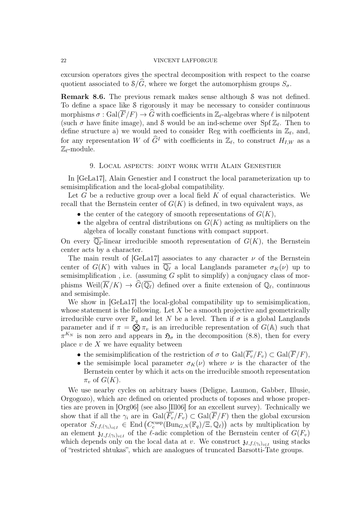excursion operators gives the spectral decomposition with respect to the coarse quotient associated to  $\mathcal{S}/\widehat{G}$ , where we forget the automorphism groups  $S_{\sigma}$ .

Remark 8.6. The previous remark makes sense although S was not defined. To define a space like S rigorously it may be necessary to consider continuous morphisms  $\sigma : \text{Gal}(\overline{F}/F) \to \widehat{G}$  with coefficients in  $\mathbb{Z}_{\ell}$ -algebras where  $\ell$  is nilpotent (such  $\sigma$  have finite image), and S would be an ind-scheme over Spf  $\mathbb{Z}_{\ell}$ . Then to define structure a) we would need to consider Reg with coefficients in  $\mathbb{Z}_{\ell}$ , and, for any representation W of  $\widehat{G}^I$  with coefficients in  $\mathbb{Z}_{\ell}$ , to construct  $H_{I,W}$  as a  $\mathbb{Z}_{\ell}$ -module.

## 9. Local aspects: joint work with Alain Genestier

In [GeLa17], Alain Genestier and I construct the local parameterization up to semisimplification and the local-global compatibility.

Let G be a reductive group over a local field  $K$  of equal characteristics. We recall that the Bernstein center of  $G(K)$  is defined, in two equivalent ways, as

- the center of the category of smooth representations of  $G(K)$ ,
- the algebra of central distributions on  $G(K)$  acting as multipliers on the algebra of locally constant functions with compact support.

On every  $\mathbb{Q}_\ell$ -linear irreducible smooth representation of  $G(K)$ , the Bernstein center acts by a character.

The main result of [GeLa17] associates to any character  $\nu$  of the Bernstein center of  $G(K)$  with values in  $\overline{\mathbb{Q}_\ell}$  a local Langlands parameter  $\sigma_K(\nu)$  up to semisimplification, i.e. (assuming  $G$  split to simplify) a conjugacy class of morphisms  $W\text{eil}(\overline{K}/K) \to \widehat{G}(\overline{\mathbb{Q}_\ell})$  defined over a finite extension of  $\mathbb{Q}_\ell$ , continuous and semisimple.

We show in [GeLa17] the local-global compatibility up to semisimplication, whose statement is the following. Let  $X$  be a smooth projective and geometrically irreducible curve over  $\mathbb{F}_q$  and let N be a level. Then if  $\sigma$  is a global Langlands parameter and if  $\pi = \hat{\otimes} \pi_v$  is an irreducible representation of  $G(\mathbb{A})$  such that  $\pi^{K_N}$  is non zero and appears in  $\mathfrak{H}_{\sigma}$  in the decomposition (8.8), then for every place  $v$  de  $X$  we have equality between

- the semisimplification of the restriction of  $\sigma$  to  $Gal(\overline{F_v}/F_v) \subset Gal(\overline{F}/F)$ ,
- the semisimple local parameter  $\sigma_K(\nu)$  where  $\nu$  is the character of the Bernstein center by which it acts on the irreducible smooth representation  $\pi_v$  of  $G(K)$ .

We use nearby cycles on arbitrary bases (Deligne, Laumon, Gabber, Illusie, Orgogozo), which are defined on oriented products of toposes and whose properties are proven in [Org06] (see also [Ill06] for an excellent survey). Technically we show that if all the  $\gamma_i$  are in  $Gal(\overline{F_n}/F_n) \subset Gal(\overline{F}/F)$  then the global excursion operator  $S_{I,f,(\gamma_i)_{i\in I}} \in \text{End}\left(C_c^{\text{cusp}}(\text{Bun}_{G,N}(\mathbb{F}_q)/\Xi,\mathbb{Q}_\ell)\right)$  acts by multiplication by an element  $\mathfrak{z}_{I,f,(\gamma_i)_{i\in I}}$  of the l-adic completion of the Bernstein center of  $G(F_v)$ which depends only on the local data at v. We construct  $\mathfrak{z}_{I,f,(\gamma_i)_{i\in I}}$  using stacks of "restricted shtukas", which are analogues of truncated Barsotti-Tate groups.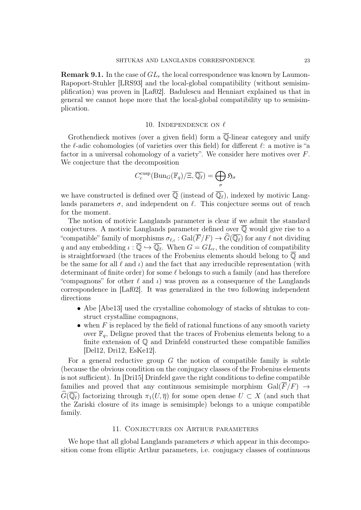**Remark 9.1.** In the case of  $GL_r$  the local correspondence was known by Laumon-Rapoport-Stuhler [LRS93] and the local-global compatibility (without semisimplification) was proven in [Laf02]. Badulescu and Henniart explained us that in general we cannot hope more that the local-global compatibility up to semisimplication.

# 10. INDEPENDENCE ON  $\ell$

Grothendieck motives (over a given field) form a  $\overline{\mathbb{Q}}$ -linear category and unify the  $\ell$ -adic cohomologies (of varieties over this field) for different  $\ell$ : a motive is "a factor in a universal cohomology of a variety". We consider here motives over F. We conjecture that the decomposition

$$
C_c^{\text{cusp}}(\text{Bun}_G(\mathbb{F}_q)/\Xi, \overline{\mathbb{Q}_\ell}) = \bigoplus_{\sigma} \mathfrak{H}_{\sigma}
$$

we have constructed is defined over  $\overline{\mathbb{Q}}$  (instead of  $\overline{\mathbb{Q}_{\ell}}$ ), indexed by motivic Langlands parameters  $\sigma$ , and independent on  $\ell$ . This conjecture seems out of reach for the moment.

The notion of motivic Langlands parameter is clear if we admit the standard conjectures. A motivic Langlands parameter defined over  $\overline{Q}$  would give rise to a "compatible" family of morphisms  $\sigma_{\ell,\iota} : \text{Gal}(\overline{F}/F) \to \widehat{G}(\overline{\mathbb{Q}_\ell})$  for any  $\ell$  not dividing q and any embedding  $\iota : \overline{\mathbb{Q}} \hookrightarrow \overline{\mathbb{Q}_{\ell}}$ . When  $G = GL_r$ , the condition of compatibility is straightforward (the traces of the Frobenius elements should belong to  $\overline{Q}$  and be the same for all  $\ell$  and  $\iota$ ) and the fact that any irreducible representation (with determinant of finite order) for some  $\ell$  belongs to such a family (and has therefore "compagnons" for other  $\ell$  and  $\iota$ ) was proven as a consequence of the Langlands correspondence in [Laf02]. It was generalized in the two following independent directions

- Abe [Abe13] used the crystalline cohomology of stacks of shtukas to construct crystalline compagnons,
- when  $F$  is replaced by the field of rational functions of any smooth variety over  $\mathbb{F}_q$ , Deligne proved that the traces of Frobenius elements belong to a finite extension of Q and Drinfeld constructed these compatible families [Del12, Dri12, EsKe12].

For a general reductive group  $G$  the notion of compatible family is subtle (because the obvious condition on the conjugacy classes of the Frobenius elements is not sufficient). In [Dri15] Drinfeld gave the right conditions to define compatible families and proved that any continuous semisimple morphism  $Gal(\overline{F}/F) \rightarrow$  $G(\overline{\mathbb{Q}_{\ell}})$  factorizing through  $\pi_1(U, \overline{\eta})$  for some open dense  $U \subset X$  (and such that the Zariski closure of its image is semisimple) belongs to a unique compatible family.

# 11. Conjectures on Arthur parameters

We hope that all global Langlands parameters  $\sigma$  which appear in this decomposition come from elliptic Arthur parameters, i.e. conjugacy classes of continuous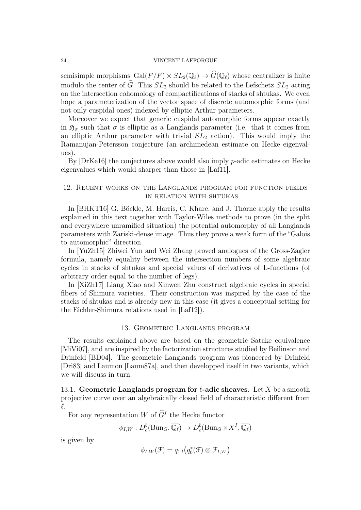semisimple morphisms  $Gal(\overline{F}/F) \times SL_2(\overline{\mathbb{Q}_\ell}) \to \widehat{G}(\overline{\mathbb{Q}_\ell})$  whose centralizer is finite modulo the center of  $\widehat{G}$ . This  $SL_2$  should be related to the Lefschetz  $SL_2$  acting on the intersection cohomology of compactifications of stacks of shtukas. We even hope a parameterization of the vector space of discrete automorphic forms (and not only cuspidal ones) indexed by elliptic Arthur parameters.

Moreover we expect that generic cuspidal automorphic forms appear exactly in  $\mathfrak{H}_{\sigma}$  such that  $\sigma$  is elliptic as a Langlands parameter (i.e. that it comes from an elliptic Arthur parameter with trivial  $SL_2$  action). This would imply the Ramanujan-Petersson conjecture (an archimedean estimate on Hecke eigenvalues).

By [DrKe16] the conjectures above would also imply p-adic estimates on Hecke eigenvalues which would sharper than those in [Laf11].

# 12. Recent works on the Langlands program for function fields in relation with shtukas

In [BHKT16] G. Böckle, M. Harris, C. Khare, and J. Thorne apply the results explained in this text together with Taylor-Wiles methods to prove (in the split and everywhere unramified situation) the potential automorphy of all Langlands parameters with Zariski-dense image. Thus they prove a weak form of the "Galois to automorphic" direction.

In [YuZh15] Zhiwei Yun and Wei Zhang proved analogues of the Gross-Zagier formula, namely equality between the intersection numbers of some algebraic cycles in stacks of shtukas and special values of derivatives of L-functions (of arbitrary order equal to the number of legs).

In [XiZh17] Liang Xiao and Xinwen Zhu construct algebraic cycles in special fibers of Shimura varieties. Their construction was inspired by the case of the stacks of shtukas and is already new in this case (it gives a conceptual setting for the Eichler-Shimura relations used in [Laf12]).

## 13. Geometric Langlands program

The results explained above are based on the geometric Satake equivalence [MiVi07], and are inspired by the factorization structures studied by Beilinson and Drinfeld [BD04]. The geometric Langlands program was pioneered by Drinfeld [Dri83] and Laumon [Laum87a], and then developped itself in two variants, which we will discuss in turn.

13.1. Geometric Langlands program for  $\ell$ -adic sheaves. Let X be a smooth projective curve over an algebraically closed field of characteristic different from  $\ell$ .

For any representation  $W$  of  $\hat{G}^I$  the Hecke functor

$$
\phi_{I,W}: D_c^b(\text{Bun}_G, \overline{\mathbb{Q}_\ell}) \to D_c^b(\text{Bun}_G \times X^I, \overline{\mathbb{Q}_\ell})
$$

is given by

$$
\phi_{I,W}(\mathcal{F})=q_{1,!}(q_0^*(\mathcal{F})\otimes \mathcal{F}_{I,W})
$$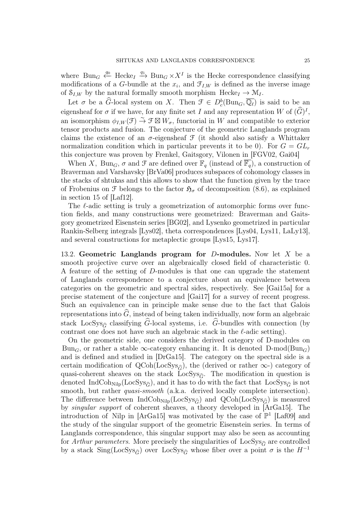where  $Bun_G \stackrel{q_0}{\longleftrightarrow} \text{Hecke}_I \stackrel{q_1}{\longrightarrow} \text{Bun}_G \times X^I$  is the Hecke correspondence classifying modifications of a G-bundle at the  $x_i$ , and  $\mathcal{F}_{I,W}$  is defined as the inverse image of  $S_{I,W}$  by the natural formally smooth morphism Hecke<sub>I</sub>  $\rightarrow$  M<sub>I</sub>.

Let  $\sigma$  be a  $\widehat{G}$ -local system on X. Then  $\mathcal{F} \in D^b_c(\text{Bun}_G, \overline{\mathbb{Q}_\ell})$  is said to be an eigensheaf for  $\sigma$  if we have, for any finite set I and any representation W of  $(\widehat{G})^I$ , an isomorphism  $\phi_{I,W}(\mathcal{F}) \stackrel{\sim}{\to} \mathcal{F} \boxtimes W_{\sigma}$ , functorial in W and compatible to exterior tensor products and fusion. The conjecture of the geometric Langlands program claims the existence of an  $\sigma$ -eigensheaf  $\mathcal F$  (it should also satisfy a Whittaker normalization condition which in particular prevents it to be 0). For  $G = GL_r$ this conjecture was proven by Frenkel, Gaitsgory, Vilonen in [FGV02, Gai04]

When X, Bun<sub>G</sub>,  $\sigma$  and  $\mathcal F$  are defined over  $\mathbb F_q$  (instead of  $\overline{\mathbb F_q}$ ), a construction of Braverman and Varshavsky [BrVa06] produces subspaces of cohomology classes in the stacks of shtukas and this allows to show that the function given by the trace of Frobenius on F belongs to the factor  $\mathfrak{H}_{\sigma}$  of decomposition (8.6), as explained in section 15 of [Laf12].

The  $\ell$ -adic setting is truly a geometrization of automorphic forms over function fields, and many constructions were geometrized: Braverman and Gaitsgory geometrized Eisenstein series [BG02], and Lysenko geometrized in particular Rankin-Selberg integrals [Lys02], theta correspondences [Lys04, Lys11, LaLy13], and several constructions for metaplectic groups [Lys15, Lys17].

13.2. Geometric Langlands program for  $D$ -modules. Now let X be a smooth projective curve over an algebraically closed field of characteristic 0. A feature of the setting of D-modules is that one can upgrade the statement of Langlands correspondence to a conjecture about an equivalence between categories on the geometric and spectral sides, respectively. See [Gai15a] for a precise statement of the conjecture and [Gai17] for a survey of recent progress. Such an equivalence can in principle make sense due to the fact that Galois representations into  $\widehat{G}$ , instead of being taken individually, now form an algebraic stack LocSys<sub> $\hat{\sigma}$ </sub> classifying  $\hat{G}$ -local systems, i.e.  $\hat{G}$ -bundles with connection (by contrast one does not have such an algebraic stack in the  $\ell$ -adic setting).

On the geometric side, one considers the derived category of D-modules on Bun<sub>G</sub>, or rather a stable  $\infty$ -category enhancing it. It is denoted D-mod(Bun<sub>G</sub>) and is defined and studied in [DrGa15]. The category on the spectral side is a certain modification of QCoh(LocSys<sub> $\hat{\sigma}$ </sub>), the (derived or rather  $\infty$ -) category of quasi-coherent sheaves on the stack LocSys<sub> $\hat{\sigma}$ </sub>. The modification in question is denoted IndCoh<sub>Nilp</sub>(LocSys<sub> $\hat{\sigma}$ </sub>), and it has to do with the fact that LocSys<sub> $\hat{\sigma}$ </sub> is not smooth, but rather *quasi-smooth* (a.k.a. derived locally complete intersection). The difference between IndCoh<sub>Nilp</sub>(LocSys<sub> $\hat{\sigma}$ </sub>) and QCoh(LocSys<sub> $\hat{\sigma}$ </sub>) is measured by singular support of coherent sheaves, a theory developed in [ArGa15]. The introduction of Nilp in [ArGa15] was motivated by the case of  $\mathbb{P}^1$  [Laf09] and the study of the singular support of the geometric Eisenstein series. In terms of Langlands correspondence, this singular support may also be seen as accounting for Arthur parameters. More precisely the singularities of  $LocSys_{\hat{C}}$  are controlled by a stack  $\text{Sing}(\text{LocSys}_{\hat{G}})$  over  $\text{LocSys}_{\hat{G}}$  whose fiber over a point  $\sigma$  is the  $H^{-1}$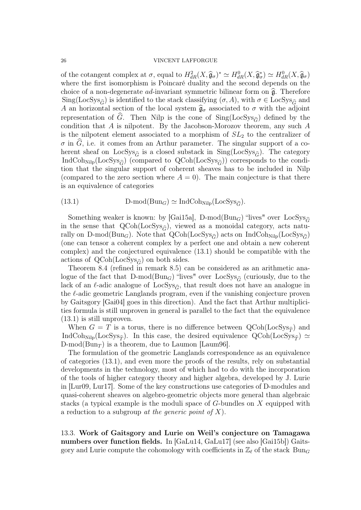of the cotangent complex at  $\sigma$ , equal to  $H_{dR}^2(X, \widehat{\mathfrak{g}}_{\sigma})^* \simeq H_{dR}^0(X, \widehat{\mathfrak{g}}_{\sigma}) \simeq H_{dR}^0(X, \widehat{\mathfrak{g}}_{\sigma})$ <br>where the first isomorphism is Poincaré duality and the second depends on the where the first isomorphism is Poincaré duality and the second depends on the choice of a non-degenerate  $ad$ -invariant symmetric bilinear form on  $\hat{\mathfrak{g}}$ . Therefore  $\text{Sing}(\text{LocSys}_{\hat{G}})$  is identified to the stack classifying  $(\sigma, A)$ , with  $\sigma \in \text{LocSys}_{\hat{G}}$  and A an horizontal section of the local system  $\hat{\mathfrak{g}}_{\sigma}$  associated to  $\sigma$  with the adjoint representation of  $\tilde{G}$ . Then Nilp is the cone of Sing(LocSys<sub> $\hat{G}$ </sub>) defined by the condition that  $A$  is nilpotent. By the Jacobson-Morozov theorem, any such  $A$ is the nilpotent element associated to a morphism of  $SL<sub>2</sub>$  to the centralizer of  $\sigma$  in  $\hat{G}$ , i.e. it comes from an Arthur parameter. The singular support of a coherent sheaf on LocSys<sub> $\hat{G}$ </sub> is a closed substack in Sing(LocSys<sub> $\hat{G}$ </sub>). The category IndCoh<sub>Nilp</sub>(LocSys<sub> $\hat{\sigma}$ </sub>) (compared to QCoh(LocSys<sub> $\hat{\sigma}$ </sub>)) corresponds to the condition that the singular support of coherent sheaves has to be included in Nilp (compared to the zero section where  $A = 0$ ). The main conjecture is that there is an equivalence of categories

(13.1) 
$$
D\text{-mod}(Bun_G) \simeq \text{IndCoh}_{\text{Nilp}}(\text{LocSys}_{\hat{G}}).
$$

Something weaker is known: by [Gai15a], D-mod( $Bun_G$ ) "lives" over  $LocSys_{\hat{G}}$ in the sense that  $QCoh(LocSys_{\hat{G}})$ , viewed as a monoidal category, acts naturally on D-mod( $\text{Bun}_G$ ). Note that  $\text{QCoh}(\text{LocSys}_{\hat{G}})$  acts on IndCoh<sub>Nilp</sub>(LocSys<sub> $\hat{G}$ </sub>) (one can tensor a coherent complex by a perfect one and obtain a new coherent complex) and the conjectured equivalence (13.1) should be compatible with the actions of  $QCoh(LocSys_{\hat{G}})$  on both sides.

Theorem 8.4 (refined in remark 8.5) can be considered as an arithmetic analogue of the fact that  $D\text{-mod}(Bun_G)$  "lives" over  $LocSys_{\hat{G}}$  (curiously, due to the lack of an  $\ell$ -adic analogue of LocSys<sub> $\hat{\sigma}$ </sub>, that result does not have an analogue in the  $\ell$ -adic geometric Langlands program, even if the vanishing conjecture proven by Gaitsgory [Gai04] goes in this direction). And the fact that Arthur multiplicities formula is still unproven in general is parallel to the fact that the equivalence (13.1) is still unproven.

When  $G = T$  is a torus, there is no difference between  $QCoh(LocSys_{\hat{\tau}})$  and IndCoh<sub>Nilp</sub>(LocSys<sub> $\hat{\tau}$ </sub>). In this case, the desired equivalence  $QCoh(LocSys_{\hat{\tau}}) \simeq$  $D\text{-mod}(Bun_T)$  is a theorem, due to Laumon [Laum96].

The formulation of the geometric Langlands correspondence as an equivalence of categories (13.1), and even more the proofs of the results, rely on substantial developments in the technology, most of which had to do with the incorporation of the tools of higher category theory and higher algebra, developed by J. Lurie in [Lur09, Lur17]. Some of the key constructions use categories of D-modules and quasi-coherent sheaves on algebro-geometric objects more general than algebraic stacks (a typical example is the moduli space of G-bundles on X equipped with a reduction to a subgroup at the generic point of  $X$ ).

13.3. Work of Gaitsgory and Lurie on Weil's conjecture on Tamagawa numbers over function fields. In [GaLu14, GaLu17] (see also [Gai15b]) Gaitsgory and Lurie compute the cohomology with coefficients in  $\mathbb{Z}_{\ell}$  of the stack  $\text{Bun}_G$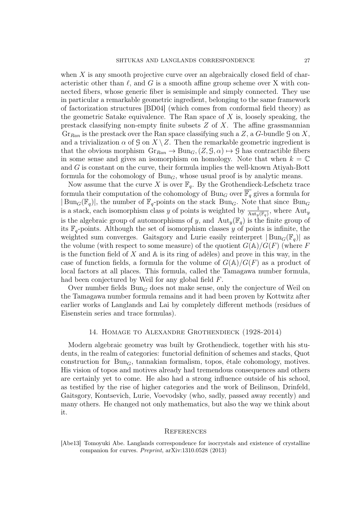when  $X$  is any smooth projective curve over an algebraically closed field of characteristic other than  $\ell$ , and G is a smooth affine group scheme over X with connected fibers, whose generic fiber is semisimple and simply connected. They use in particular a remarkable geometric ingredient, belonging to the same framework of factorization structures [BD04] (which comes from conformal field theory) as the geometric Satake equivalence. The Ran space of  $X$  is, loosely speaking, the prestack classifying non-empty finite subsets  $Z$  of  $X$ . The affine grassmannian  $Gr_{Ran}$  is the prestack over the Ran space classifying such a Z, a G-bundle G on X, and a trivialization  $\alpha$  of  $\mathcal{G}$  on  $X \setminus Z$ . Then the remarkable geometric ingredient is that the obvious morphism  $\text{Gr}_{Ran} \to \text{Bun}_G$ ,  $(Z, \mathcal{G}, \alpha) \mapsto \mathcal{G}$  has contractible fibers in some sense and gives an isomorphism on homology. Note that when  $k = \mathbb{C}$ and G is constant on the curve, their formula implies the well-known Atiyah-Bott formula for the cohomology of  $Bun<sub>G</sub>$ , whose usual proof is by analytic means.

Now assume that the curve X is over  $\mathbb{F}_q$ . By the Grothendieck-Lefschetz trace formula their computation of the cohomology of Bun<sub>G</sub> over  $\mathbb{F}_q$  gives a formula for  $|\text{Bun}_G(\mathbb{F}_q)|$ , the number of  $\mathbb{F}_q$ -points on the stack  $\text{Bun}_G$ . Note that since  $\text{Bun}_G$ is a stack, each isomorphism class y of points is weighted by  $\frac{1}{\text{Aut}_y(\mathbb{F}_q)}$ , where  $\text{Aut}_y$ is the algebraic group of automorphisms of y, and  $\text{Aut}_{y}(\mathbb{F}_{q})$  is the finite group of its  $\mathbb{F}_q$ -points. Although the set of isomorphism classes y of points is infinite, the weighted sum converges. Gaitsgory and Lurie easily reinterpret  $|Bun_G(\mathbb{F}_q)|$  as the volume (with respect to some measure) of the quotient  $G(\mathbb{A})/G(F)$  (where F is the function field of X and  $\mathbb A$  is its ring of adèles) and prove in this way, in the case of function fields, a formula for the volume of  $G(A)/G(F)$  as a product of local factors at all places. This formula, called the Tamagawa number formula, had been conjectured by Weil for any global field F.

Over number fields  $Bun_G$  does not make sense, only the conjecture of Weil on the Tamagawa number formula remains and it had been proven by Kottwitz after earlier works of Langlands and Lai by completely different methods (residues of Eisenstein series and trace formulas).

## 14. Homage to Alexandre Grothendieck (1928-2014)

Modern algebraic geometry was built by Grothendieck, together with his students, in the realm of categories: functorial definition of schemes and stacks, Quot construction for  $Bun_G$ , tannakian formalism, topos, étale cohomology, motives. His vision of topos and motives already had tremendous consequences and others are certainly yet to come. He also had a strong influence outside of his school, as testified by the rise of higher categories and the work of Beilinson, Drinfeld, Gaitsgory, Kontsevich, Lurie, Voevodsky (who, sadly, passed away recently) and many others. He changed not only mathematics, but also the way we think about it.

### **REFERENCES**

[Abe13] Tomoyuki Abe. Langlands correspondence for isocrystals and existence of crystalline companion for curves. Preprint, arXiv:1310.0528 (2013)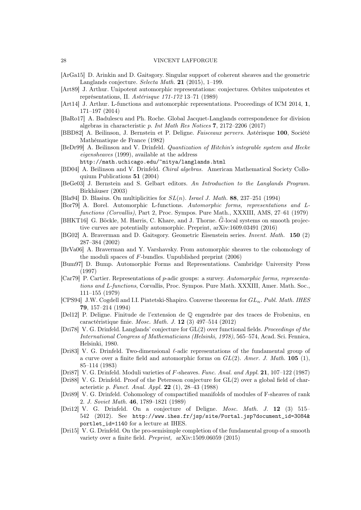- [ArGa15] D. Arinkin and D. Gaitsgory. Singular support of coherent sheaves and the geometric Langlands conjecture. Selecta Math. 21 (2015), 1–199.
- [Art89] J. Arthur. Unipotent automorphic representations: conjectures. Orbites unipotentes et représentations, II. Astérisque 171-172 13–71 (1989)
- [Art14] J. Arthur. L-functions and automorphic representations. Proceedings of ICM 2014, 1, 171–197 (2014)
- [BaRo17] A. Badulescu and Ph. Roche. Global Jacquet-Langlands correspondence for division algebras in characteristic p. Int Math Res Notices 7, 2172–2206 (2017)
- [BBD82] A. Beilinson, J. Bernstein et P. Deligne. Faisceaux pervers. Astérisque 100, Société Mathématique de France (1982)
- [BeDr99] A. Beilinson and V. Drinfeld. Quantization of Hitchin's integrable system and Hecke eigensheaves (1999), available at the address
	- http://math.uchicago.edu/~mitya/langlands.html
- [BD04] A. Beilinson and V. Drinfeld. Chiral algebras. American Mathematical Society Colloquium Publications 51 (2004)
- [BeGe03] J. Bernstein and S. Gelbart editors. An Introduction to the Langlands Program. Birkhäuser (2003)
- [Bla94] D. Blasius. On multiplicities for  $SL(n)$ . Israel J. Math. 88, 237-251 (1994)
- [Bor79] A. Borel. Automorphic L-functions. Automorphic forms, representations and Lfunctions (Corvallis), Part 2, Proc. Sympos. Pure Math., XXXIII, AMS, 27–61 (1979)
- [BHKT16] G. Böckle, M. Harris, C. Khare, and J. Thorne.  $\hat{G}$ -local systems on smooth projective curves are potentially automorphic. Preprint, arXiv:1609.03491 (2016)
- [BG02] A. Braverman and D. Gaitsgory. Geometric Eisenstein series. Invent. Math. 150 (2) 287–384 (2002)
- [BrVa06] A. Braverman and Y. Varshavsky. From automorphic sheaves to the cohomology of the moduli spaces of F-bundles. Unpublished preprint (2006)
- [Bum97] D. Bump. Automorphic Forms and Representations. Cambridge University Press (1997)
- [Car79] P. Cartier. Representations of p-adic groups: a survey. Automorphic forms, representations and L-functions, Corvallis, Proc. Sympos. Pure Math. XXXIII, Amer. Math. Soc., 111–155 (1979)
- [CPS94] J.W. Cogdell and I.I. Piatetski-Shapiro. Converse theorems for  $GL_n$ . Publ. Math. IHES 79, 157–214 (1994)
- [Del12] P. Deligne. Finitude de l'extension de Q engendrée par des traces de Frobenius, en caractéristique finie. Mosc. Math. J. 12 (3) 497–514 (2012)
- [Dri78] V. G. Drinfeld. Langlands' conjecture for GL(2) over functional fields. Proceedings of the International Congress of Mathematicians (Helsinki, 1978), 565–574, Acad. Sci. Fennica, Helsinki, 1980.
- [Dri83] V. G. Drinfeld. Two-dimensional  $\ell$ -adic representations of the fundamental group of a curve over a finite field and automorphic forms on  $GL(2)$ . Amer. J. Math. 105 (1), 85–114 (1983)
- [Dri87] V. G. Drinfeld. Moduli varieties of F-sheaves. Func. Anal. and Appl. 21, 107–122 (1987)
- [Dri88] V. G. Drinfeld. Proof of the Petersson conjecture for GL(2) over a global field of characteristic p. Funct. Anal. Appl. 22 (1), 28–43 (1988)
- [Dri89] V. G. Drinfeld. Cohomology of compactified manifolds of modules of F-sheaves of rank 2. J. Soviet Math. 46, 1789–1821 (1989)
- [Dri12] V. G. Drinfeld. On a conjecture of Deligne. Mosc. Math. J. 12 (3) 515– 542 (2012). See http://www.ihes.fr/jsp/site/Portal.jsp?document\_id=3084& portlet\_id=1140 for a lecture at IHES.
- [Dri15] V. G. Drinfeld. On the pro-semisimple completion of the fundamental group of a smooth variety over a finite field. Preprint, arXiv:1509.06059 (2015)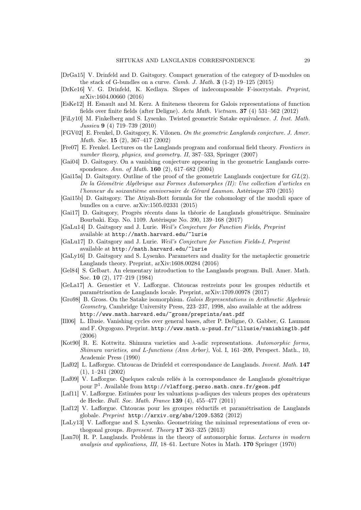- [DrGa15] V. Drinfeld and D. Gaitsgory. Compact generation of the category of D-modules on the stack of G-bundles on a curve. *Camb. J. Math.*  $3(1-2)$  19–125 (2015)
- [DrKe16] V. G. Drinfeld, K. Kedlaya. Slopes of indecomposable F-isocrystals. Preprint, arXiv:1604.00660 (2016)
- [EsKe12] H. Esnault and M. Kerz. A finiteness theorem for Galois representations of function fields over finite fields (after Deligne). Acta Math. Vietnam. 37 (4) 531–562 (2012)
- [FiLy10] M. Finkelberg and S. Lysenko. Twisted geometric Satake equivalence. J. Inst. Math. Jussieu 9 (4) 719–739 (2010)
- [FGV02] E. Frenkel, D. Gaitsgory, K. Vilonen. On the geometric Langlands conjecture. J. Amer. Math. Soc. 15 (2), 367–417 (2002)
- [Fre07] E. Frenkel. Lectures on the Langlands program and conformal field theory. Frontiers in number theory, physics, and geometry. II, 387–533, Springer (2007)
- [Gai04] D. Gaitsgory. On a vanishing conjecture appearing in the geometric Langlands correspondence. Ann. of Math. 160 (2), 617–682 (2004)
- [Gai15a] D. Gaitsgory. Outline of the proof of the geometric Langlands conjecture for GL(2). De la Géométrie Algébrique aux Formes Automorphes (II): Une collection d'articles en l'honneur du soixantième anniversaire de Gérard Laumon. Astérisque 370 (2015)

[Gai15b] D. Gaitsgory. The Atiyah-Bott formula for the cohomology of the moduli space of bundles on a curve. arXiv:1505.02331 (2015)

- [Gai17] D. Gaitsgory, Progrès récents dans la théorie de Langlands géométrique. Séminaire Bourbaki. Exp. No. 1109. Astérisque No. 390, 139–168 (2017)
- [GaLu14] D. Gaitsgory and J. Lurie. Weil's Conjecture for Function Fields, Preprint available at http://math.harvard.edu/~lurie
- [GaLu17] D. Gaitsgory and J. Lurie. Weil's Conjecture for Function Fields-I, Preprint available at http://math.harvard.edu/~lurie
- [GaLy16] D. Gaitsgory and S. Lysenko. Parameters and duality for the metaplectic geometric Langlands theory. Preprint, arXiv:1608.00284 (2016)
- [Gel84] S. Gelbart. An elementary introduction to the Langlands program. Bull. Amer. Math. Soc. 10 (2), 177–219 (1984)
- [GeLa17] A. Genestier et V. Lafforgue. Chtoucas restreints pour les groupes réductifs et paramétrisation de Langlands locale. Preprint, arXiv:1709.00978 (2017)
- [Gro98] B. Gross. On the Satake isomorphism. Galois Representations in Arithmetic Algebraic Geometry, Cambridge University Press, 223–237, 1998, also available at the address http://www.math.harvard.edu/~gross/preprints/sat.pdf
- [Ill06] L. Illusie. Vanishing cycles over general bases, after P. Deligne, O. Gabber, G. Laumon and F. Orgogozo. Preprint. http://www.math.u-psud.fr/~illusie/vanishing1b.pdf (2006)
- [Kot90] R. E. Kottwitz. Shimura varieties and λ-adic representations. Automorphic forms, Shimura varieties, and L-functions (Ann Arbor), Vol. I, 161–209, Perspect. Math., 10, Academic Press (1990)
- [Laf02] L. Lafforgue. Chtoucas de Drinfeld et correspondance de Langlands. Invent. Math. 147 (1), 1–241 (2002)
- [Laf09] V. Lafforgue. Quelques calculs reliés à la correspondance de Langlands géométrique pour  $\mathbb{P}^1$ . Available from http://vlafforg.perso.math.cnrs.fr/geom.pdf
- [Laf11] V. Lafforgue. Estimées pour les valuations p-adiques des valeurs propes des opérateurs de Hecke. Bull. Soc. Math. France 139 (4), 455–477 (2011)
- [Laf12] V. Lafforgue. Chtoucas pour les groupes réductifs et paramétrisation de Langlands globale. Preprint http://arxiv.org/abs/1209.5352 (2012)
- [LaLy13] V. Lafforgue and S. Lysenko. Geometrizing the minimal representations of even orthogonal groups. Represent. Theory 17 263–325 (2013)
- [Lan70] R. P. Langlands. Problems in the theory of automorphic forms. Lectures in modern analysis and applications, III, 18–61. Lecture Notes in Math. 170 Springer (1970)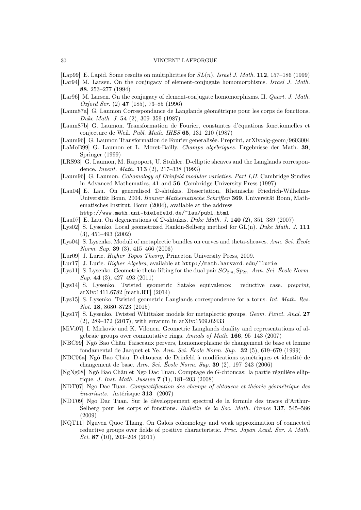- [Lap99] E. Lapid. Some results on multiplicities for  $SL(n)$ . Israel J. Math. 112, 157–186 (1999)
- [Lar94] M. Larsen. On the conjugacy of element-conjugate homomorphisms. Israel J. Math. 88, 253–277 (1994)
- [Lar96] M. Larsen. On the conjugacy of element-conjugate homomorphisms. II. Quart. J. Math. Oxford Ser. (2) 47 (185), 73–85 (1996)
- [Laum87a] G. Laumon Correspondance de Langlands géométrique pour les corps de fonctions. Duke Math. J. 54 (2), 309–359 (1987)
- [Laum87b] G. Laumon. Transformation de Fourier, constantes d'équations fonctionnelles et conjecture de Weil. Publ. Math. IHES 65, 131–210 (1987)
- [Laum96] G. Laumon Transformation de Fourier generalisée. Preprint, arXiv:alg-geom/9603004
- [LaMoB99] G. Laumon et L. Moret-Bailly. Champs algébriques. Ergebnisse der Math. 39, Springer (1999)
- [LRS93] G. Laumon, M. Rapoport, U. Stuhler. D-elliptic sheaves and the Langlands correspondence. Invent. Math. 113 (2), 217–338 (1993)
- [Laum96] G. Laumon. Cohomology of Drinfeld modular varieties. Part I,II. Cambridge Studies in Advanced Mathematics, 41 and 56. Cambridge University Press (1997)
- [Lau04] E. Lau. On generalised D-shtukas. Dissertation, Rheinische Friedrich-Wilhelms-Universität Bonn, 2004. Bonner Mathematische Schriften 369. Universität Bonn, Mathematisches Institut, Bonn (2004), available at the address http://www.math.uni-bielefeld.de/~lau/publ.html
- [Lau07] E. Lau. On degenerations of D-shtukas. Duke Math. J. 140 (2), 351–389 (2007)
- [Lys02] S. Lysenko. Local geometrized Rankin-Selberg method for GL(n). Duke Math. J. 111 (3), 451–493 (2002)
- [Lys04] S. Lysenko. Moduli of metaplectic bundles on curves and theta-sheaves. Ann. Sci. École Norm. Sup. 39 (3), 415–466 (2006)
- [Lur09] J. Lurie. Higher Topos Theory, Princeton University Press, 2009.
- [Lur17] J. Lurie. *Higher Algebra*, available at http://math.harvard.edu/~lurie
- [Lys11] S. Lysenko. Geometric theta-lifting for the dual pair  $SO_{2m}$ ,  $Sp_{2n}$ . Ann. Sci. École Norm. Sup. 44 (3), 427–493 (2011)
- [Lys14] S. Lysenko. Twisted geometric Satake equivalence: reductive case. preprint, arXiv:1411.6782 [math.RT] (2014)
- [Lys15] S. Lysenko. Twisted geometric Langlands correspondence for a torus. Int. Math. Res. Not. 18, 8680–8723 (2015)
- [Lys17] S. Lysenko. Twisted Whittaker models for metaplectic groups. Geom. Funct. Anal. 27 (2), 289–372 (2017), with erratum in arXiv:1509.02433
- [MiVi07] I. Mirkovic and K. Vilonen. Geometric Langlands duality and representations of algebraic groups over commutative rings. Annals of Math. 166, 95–143 (2007)
- [NBC99] Ngô Bao Châu. Faisceaux pervers, homomorphisme de changement de base et lemme fondamental de Jacquet et Ye. Ann. Sci. École Norm. Sup. 32 (5), 619–679 (1999)
- [NBC06a] Ngô Bao Châu. D-chtoucas de Drinfeld à modifications symétriques et identité de changement de base. Ann. Sci. École Norm. Sup. 39 (2), 197–243 (2006)
- [NgNg08] Ngô Bao Châu et Ngo Dac Tuan. Comptage de G-chtoucas: la partie régulière elliptique. J. Inst. Math. Jussieu 7 (1), 181–203 (2008)
- [NDT07] Ngo Dac Tuan. Compactification des champs of chtoucas et théorie géométrique des invariants. Astérisque 313 (2007)
- [NDT09] Ngo Dac Tuan. Sur le développement spectral de la formule des traces d'Arthur-Selberg pour les corps of fonctions. Bulletin de la Soc. Math. France 137, 545–586 (2009)
- [NQT11] Nguyen Quoc Thang. On Galois cohomology and weak approximation of connected reductive groups over fields of positive characteristic. Proc. Japan Acad. Ser. A Math. Sci. 87 (10), 203–208 (2011)